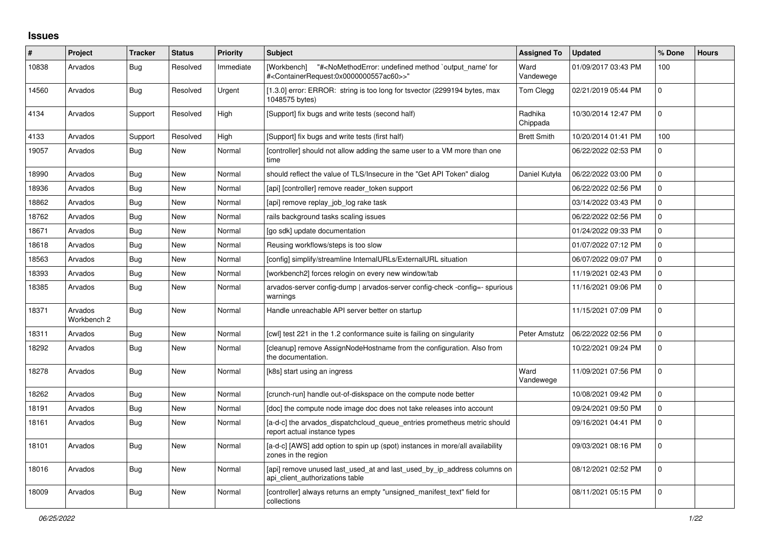## **Issues**

| ∦     | Project                | <b>Tracker</b> | <b>Status</b> | <b>Priority</b> | <b>Subject</b>                                                                                                                                                                             | <b>Assigned To</b>  | <b>Updated</b>      | % Done         | <b>Hours</b> |
|-------|------------------------|----------------|---------------|-----------------|--------------------------------------------------------------------------------------------------------------------------------------------------------------------------------------------|---------------------|---------------------|----------------|--------------|
| 10838 | Arvados                | Bug            | Resolved      | Immediate       | "# <nomethoderror: `output_name'="" for<br="" method="" undefined=""><b>IWorkbench1</b><br/>#<containerrequest:0x0000000557ac60>&gt;"</containerrequest:0x0000000557ac60></nomethoderror:> | Ward<br>Vandewege   | 01/09/2017 03:43 PM | 100            |              |
| 14560 | Arvados                | <b>Bug</b>     | Resolved      | Urgent          | [1.3.0] error: ERROR: string is too long for tsvector (2299194 bytes, max<br>1048575 bytes)                                                                                                | Tom Clegg           | 02/21/2019 05:44 PM | $\mathbf{0}$   |              |
| 4134  | Arvados                | Support        | Resolved      | High            | [Support] fix bugs and write tests (second half)                                                                                                                                           | Radhika<br>Chippada | 10/30/2014 12:47 PM | $\Omega$       |              |
| 4133  | Arvados                | Support        | Resolved      | High            | [Support] fix bugs and write tests (first half)                                                                                                                                            | <b>Brett Smith</b>  | 10/20/2014 01:41 PM | 100            |              |
| 19057 | Arvados                | Bug            | New           | Normal          | [controller] should not allow adding the same user to a VM more than one<br>time                                                                                                           |                     | 06/22/2022 02:53 PM | $\Omega$       |              |
| 18990 | Arvados                | <b>Bug</b>     | <b>New</b>    | Normal          | should reflect the value of TLS/Insecure in the "Get API Token" dialog                                                                                                                     | Daniel Kutyła       | 06/22/2022 03:00 PM | $\Omega$       |              |
| 18936 | Arvados                | <b>Bug</b>     | New           | Normal          | [api] [controller] remove reader token support                                                                                                                                             |                     | 06/22/2022 02:56 PM | $\Omega$       |              |
| 18862 | Arvados                | Bug            | <b>New</b>    | Normal          | [api] remove replay_job_log rake task                                                                                                                                                      |                     | 03/14/2022 03:43 PM | $\Omega$       |              |
| 18762 | Arvados                | <b>Bug</b>     | <b>New</b>    | Normal          | rails background tasks scaling issues                                                                                                                                                      |                     | 06/22/2022 02:56 PM | $\Omega$       |              |
| 18671 | Arvados                | Bug            | <b>New</b>    | Normal          | [go sdk] update documentation                                                                                                                                                              |                     | 01/24/2022 09:33 PM | $\Omega$       |              |
| 18618 | Arvados                | <b>Bug</b>     | New           | Normal          | Reusing workflows/steps is too slow                                                                                                                                                        |                     | 01/07/2022 07:12 PM | $\Omega$       |              |
| 18563 | Arvados                | <b>Bug</b>     | New           | Normal          | [config] simplify/streamline InternalURLs/ExternalURL situation                                                                                                                            |                     | 06/07/2022 09:07 PM | $\overline{0}$ |              |
| 18393 | Arvados                | <b>Bug</b>     | New           | Normal          | [workbench2] forces relogin on every new window/tab                                                                                                                                        |                     | 11/19/2021 02:43 PM | $\mathbf{0}$   |              |
| 18385 | Arvados                | Bug            | New           | Normal          | arvados-server config-dump   arvados-server config-check -config=- spurious<br>warnings                                                                                                    |                     | 11/16/2021 09:06 PM | $\Omega$       |              |
| 18371 | Arvados<br>Workbench 2 | <b>Bug</b>     | New           | Normal          | Handle unreachable API server better on startup                                                                                                                                            |                     | 11/15/2021 07:09 PM | $\Omega$       |              |
| 18311 | Arvados                | Bug            | New           | Normal          | [cwl] test 221 in the 1.2 conformance suite is failing on singularity                                                                                                                      | Peter Amstutz       | 06/22/2022 02:56 PM | $\mathbf{0}$   |              |
| 18292 | Arvados                | <b>Bug</b>     | <b>New</b>    | Normal          | [cleanup] remove AssignNodeHostname from the configuration. Also from<br>the documentation.                                                                                                |                     | 10/22/2021 09:24 PM | $\Omega$       |              |
| 18278 | Arvados                | <b>Bug</b>     | <b>New</b>    | Normal          | [k8s] start using an ingress                                                                                                                                                               | Ward<br>Vandewege   | 11/09/2021 07:56 PM | $\Omega$       |              |
| 18262 | Arvados                | <b>Bug</b>     | New           | Normal          | [crunch-run] handle out-of-diskspace on the compute node better                                                                                                                            |                     | 10/08/2021 09:42 PM | $\Omega$       |              |
| 18191 | Arvados                | <b>Bug</b>     | New           | Normal          | [doc] the compute node image doc does not take releases into account                                                                                                                       |                     | 09/24/2021 09:50 PM | $\Omega$       |              |
| 18161 | Arvados                | Bug            | New           | Normal          | [a-d-c] the arvados_dispatchcloud_queue_entries prometheus metric should<br>report actual instance types                                                                                   |                     | 09/16/2021 04:41 PM | $\Omega$       |              |
| 18101 | Arvados                | Bug            | New           | Normal          | [a-d-c] [AWS] add option to spin up (spot) instances in more/all availability<br>zones in the region                                                                                       |                     | 09/03/2021 08:16 PM | $\Omega$       |              |
| 18016 | Arvados                | Bug            | New           | Normal          | [api] remove unused last used at and last used by ip address columns on<br>api client authorizations table                                                                                 |                     | 08/12/2021 02:52 PM | $\Omega$       |              |
| 18009 | Arvados                | <b>Bug</b>     | <b>New</b>    | Normal          | [controller] always returns an empty "unsigned_manifest_text" field for<br>collections                                                                                                     |                     | 08/11/2021 05:15 PM | $\Omega$       |              |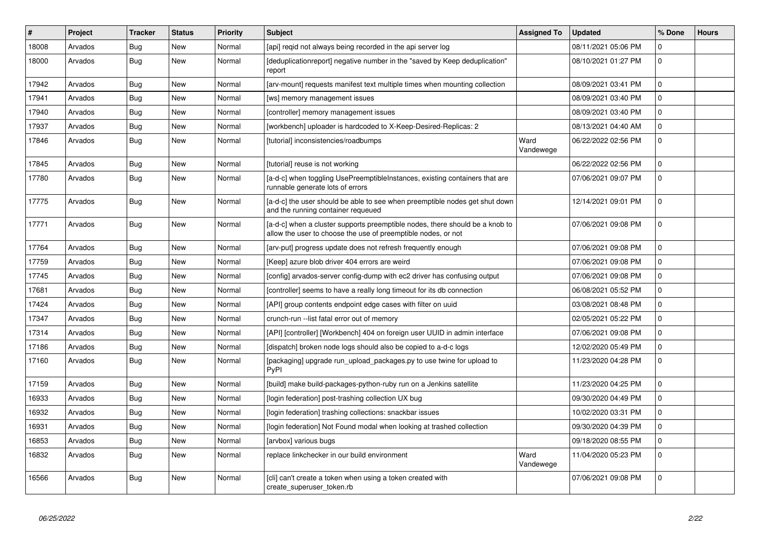| #     | Project | <b>Tracker</b> | <b>Status</b> | <b>Priority</b> | <b>Subject</b>                                                                                                                                | <b>Assigned To</b> | <b>Updated</b>      | % Done      | <b>Hours</b> |
|-------|---------|----------------|---------------|-----------------|-----------------------------------------------------------------------------------------------------------------------------------------------|--------------------|---------------------|-------------|--------------|
| 18008 | Arvados | Bug            | New           | Normal          | [api] regid not always being recorded in the api server log                                                                                   |                    | 08/11/2021 05:06 PM | $\Omega$    |              |
| 18000 | Arvados | Bug            | New           | Normal          | [deduplicationreport] negative number in the "saved by Keep deduplication"<br>report                                                          |                    | 08/10/2021 01:27 PM | $\Omega$    |              |
| 17942 | Arvados | <b>Bug</b>     | New           | Normal          | [arv-mount] requests manifest text multiple times when mounting collection                                                                    |                    | 08/09/2021 03:41 PM | $\Omega$    |              |
| 17941 | Arvados | <b>Bug</b>     | New           | Normal          | [ws] memory management issues                                                                                                                 |                    | 08/09/2021 03:40 PM | $\mathbf 0$ |              |
| 17940 | Arvados | <b>Bug</b>     | New           | Normal          | [controller] memory management issues                                                                                                         |                    | 08/09/2021 03:40 PM | $\mathbf 0$ |              |
| 17937 | Arvados | <b>Bug</b>     | New           | Normal          | [workbench] uploader is hardcoded to X-Keep-Desired-Replicas: 2                                                                               |                    | 08/13/2021 04:40 AM | $\Omega$    |              |
| 17846 | Arvados | <b>Bug</b>     | New           | Normal          | [tutorial] inconsistencies/roadbumps                                                                                                          | Ward<br>Vandewege  | 06/22/2022 02:56 PM | $\Omega$    |              |
| 17845 | Arvados | <b>Bug</b>     | New           | Normal          | [tutorial] reuse is not working                                                                                                               |                    | 06/22/2022 02:56 PM | $\Omega$    |              |
| 17780 | Arvados | <b>Bug</b>     | New           | Normal          | [a-d-c] when toggling UsePreemptibleInstances, existing containers that are<br>runnable generate lots of errors                               |                    | 07/06/2021 09:07 PM | $\Omega$    |              |
| 17775 | Arvados | <b>Bug</b>     | New           | Normal          | [a-d-c] the user should be able to see when preemptible nodes get shut down<br>and the running container requeued                             |                    | 12/14/2021 09:01 PM | $\Omega$    |              |
| 17771 | Arvados | Bug            | New           | Normal          | [a-d-c] when a cluster supports preemptible nodes, there should be a knob to<br>allow the user to choose the use of preemptible nodes, or not |                    | 07/06/2021 09:08 PM | $\Omega$    |              |
| 17764 | Arvados | <b>Bug</b>     | New           | Normal          | [arv-put] progress update does not refresh frequently enough                                                                                  |                    | 07/06/2021 09:08 PM | $\Omega$    |              |
| 17759 | Arvados | <b>Bug</b>     | <b>New</b>    | Normal          | [Keep] azure blob driver 404 errors are weird                                                                                                 |                    | 07/06/2021 09:08 PM | $\Omega$    |              |
| 17745 | Arvados | <b>Bug</b>     | New           | Normal          | [config] arvados-server config-dump with ec2 driver has confusing output                                                                      |                    | 07/06/2021 09:08 PM | $\Omega$    |              |
| 17681 | Arvados | Bug            | New           | Normal          | [controller] seems to have a really long timeout for its db connection                                                                        |                    | 06/08/2021 05:52 PM | $\mathbf 0$ |              |
| 17424 | Arvados | <b>Bug</b>     | New           | Normal          | [API] group contents endpoint edge cases with filter on uuid                                                                                  |                    | 03/08/2021 08:48 PM | $\Omega$    |              |
| 17347 | Arvados | Bug            | <b>New</b>    | Normal          | crunch-run -- list fatal error out of memory                                                                                                  |                    | 02/05/2021 05:22 PM | $\Omega$    |              |
| 17314 | Arvados | <b>Bug</b>     | New           | Normal          | [API] [controller] [Workbench] 404 on foreign user UUID in admin interface                                                                    |                    | 07/06/2021 09:08 PM | $\mathbf 0$ |              |
| 17186 | Arvados | Bug            | New           | Normal          | [dispatch] broken node logs should also be copied to a-d-c logs                                                                               |                    | 12/02/2020 05:49 PM | $\mathbf 0$ |              |
| 17160 | Arvados | <b>Bug</b>     | <b>New</b>    | Normal          | [packaging] upgrade run_upload_packages.py to use twine for upload to<br>PyPI                                                                 |                    | 11/23/2020 04:28 PM | $\Omega$    |              |
| 17159 | Arvados | <b>Bug</b>     | New           | Normal          | [build] make build-packages-python-ruby run on a Jenkins satellite                                                                            |                    | 11/23/2020 04:25 PM | $\mathbf 0$ |              |
| 16933 | Arvados | Bug            | New           | Normal          | [login federation] post-trashing collection UX bug                                                                                            |                    | 09/30/2020 04:49 PM | $\Omega$    |              |
| 16932 | Arvados | <b>Bug</b>     | <b>New</b>    | Normal          | [login federation] trashing collections: snackbar issues                                                                                      |                    | 10/02/2020 03:31 PM | $\Omega$    |              |
| 16931 | Arvados | Bug            | New           | Normal          | [login federation] Not Found modal when looking at trashed collection                                                                         |                    | 09/30/2020 04:39 PM | $\mathbf 0$ |              |
| 16853 | Arvados | <b>Bug</b>     | New           | Normal          | [arvbox] various bugs                                                                                                                         |                    | 09/18/2020 08:55 PM | $\mathbf 0$ |              |
| 16832 | Arvados | <b>Bug</b>     | New           | Normal          | replace linkchecker in our build environment                                                                                                  | Ward<br>Vandewege  | 11/04/2020 05:23 PM | $\Omega$    |              |
| 16566 | Arvados | Bug            | New           | Normal          | [cli] can't create a token when using a token created with<br>create superuser token.rb                                                       |                    | 07/06/2021 09:08 PM | $\Omega$    |              |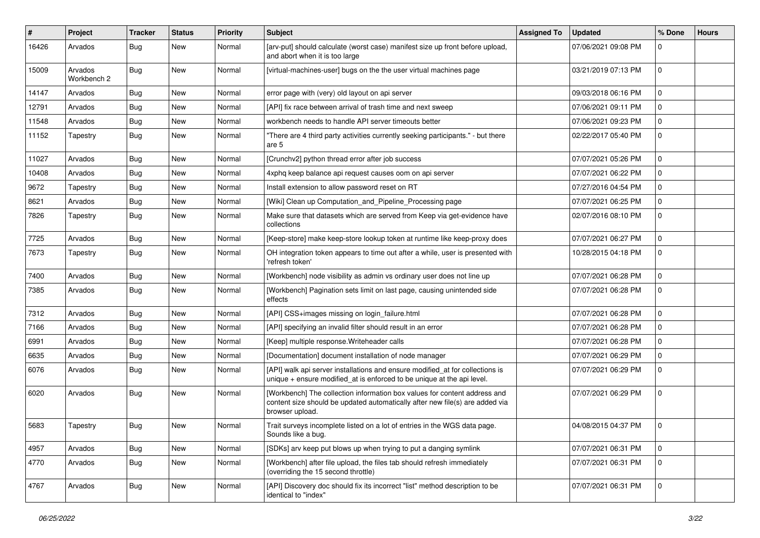| #     | Project                | <b>Tracker</b> | <b>Status</b> | <b>Priority</b> | <b>Subject</b>                                                                                                                                                               | <b>Assigned To</b> | <b>Updated</b>      | % Done   | <b>Hours</b> |
|-------|------------------------|----------------|---------------|-----------------|------------------------------------------------------------------------------------------------------------------------------------------------------------------------------|--------------------|---------------------|----------|--------------|
| 16426 | Arvados                | Bug            | New           | Normal          | [arv-put] should calculate (worst case) manifest size up front before upload,<br>and abort when it is too large                                                              |                    | 07/06/2021 09:08 PM | $\Omega$ |              |
| 15009 | Arvados<br>Workbench 2 | Bug            | New           | Normal          | [virtual-machines-user] bugs on the the user virtual machines page                                                                                                           |                    | 03/21/2019 07:13 PM | $\Omega$ |              |
| 14147 | Arvados                | <b>Bug</b>     | New           | Normal          | error page with (very) old layout on api server                                                                                                                              |                    | 09/03/2018 06:16 PM | $\Omega$ |              |
| 12791 | Arvados                | Bug            | New           | Normal          | [API] fix race between arrival of trash time and next sweep                                                                                                                  |                    | 07/06/2021 09:11 PM | $\Omega$ |              |
| 11548 | Arvados                | <b>Bug</b>     | New           | Normal          | workbench needs to handle API server timeouts better                                                                                                                         |                    | 07/06/2021 09:23 PM | $\Omega$ |              |
| 11152 | Tapestry               | Bug            | New           | Normal          | "There are 4 third party activities currently seeking participants." - but there<br>are 5                                                                                    |                    | 02/22/2017 05:40 PM | $\Omega$ |              |
| 11027 | Arvados                | <b>Bug</b>     | New           | Normal          | [Crunchv2] python thread error after job success                                                                                                                             |                    | 07/07/2021 05:26 PM | $\Omega$ |              |
| 10408 | Arvados                | Bug            | New           | Normal          | 4xphq keep balance api request causes oom on api server                                                                                                                      |                    | 07/07/2021 06:22 PM | $\Omega$ |              |
| 9672  | Tapestry               | <b>Bug</b>     | New           | Normal          | Install extension to allow password reset on RT                                                                                                                              |                    | 07/27/2016 04:54 PM | $\Omega$ |              |
| 8621  | Arvados                | <b>Bug</b>     | New           | Normal          | [Wiki] Clean up Computation_and_Pipeline_Processing page                                                                                                                     |                    | 07/07/2021 06:25 PM | 0        |              |
| 7826  | Tapestry               | Bug            | New           | Normal          | Make sure that datasets which are served from Keep via get-evidence have<br>collections                                                                                      |                    | 02/07/2016 08:10 PM | $\Omega$ |              |
| 7725  | Arvados                | Bug            | New           | Normal          | [Keep-store] make keep-store lookup token at runtime like keep-proxy does                                                                                                    |                    | 07/07/2021 06:27 PM | $\Omega$ |              |
| 7673  | Tapestry               | Bug            | New           | Normal          | OH integration token appears to time out after a while, user is presented with<br>'refresh token'                                                                            |                    | 10/28/2015 04:18 PM | $\Omega$ |              |
| 7400  | Arvados                | Bug            | New           | Normal          | [Workbench] node visibility as admin vs ordinary user does not line up                                                                                                       |                    | 07/07/2021 06:28 PM | $\Omega$ |              |
| 7385  | Arvados                | <b>Bug</b>     | New           | Normal          | [Workbench] Pagination sets limit on last page, causing unintended side<br>effects                                                                                           |                    | 07/07/2021 06:28 PM | $\Omega$ |              |
| 7312  | Arvados                | Bug            | New           | Normal          | [API] CSS+images missing on login_failure.html                                                                                                                               |                    | 07/07/2021 06:28 PM | $\Omega$ |              |
| 7166  | Arvados                | <b>Bug</b>     | New           | Normal          | [API] specifying an invalid filter should result in an error                                                                                                                 |                    | 07/07/2021 06:28 PM | $\Omega$ |              |
| 6991  | Arvados                | Bug            | New           | Normal          | [Keep] multiple response. Writeheader calls                                                                                                                                  |                    | 07/07/2021 06:28 PM | $\Omega$ |              |
| 6635  | Arvados                | <b>Bug</b>     | New           | Normal          | [Documentation] document installation of node manager                                                                                                                        |                    | 07/07/2021 06:29 PM | $\Omega$ |              |
| 6076  | Arvados                | <b>Bug</b>     | New           | Normal          | [API] walk api server installations and ensure modified_at for collections is<br>unique + ensure modified_at is enforced to be unique at the api level.                      |                    | 07/07/2021 06:29 PM | $\Omega$ |              |
| 6020  | Arvados                | Bug            | New           | Normal          | [Workbench] The collection information box values for content address and<br>content size should be updated automatically after new file(s) are added via<br>browser upload. |                    | 07/07/2021 06:29 PM | $\Omega$ |              |
| 5683  | Tapestry               | Bug            | New           | Normal          | Trait surveys incomplete listed on a lot of entries in the WGS data page.<br>Sounds like a bug.                                                                              |                    | 04/08/2015 04:37 PM | 0        |              |
| 4957  | Arvados                | <b>Bug</b>     | New           | Normal          | [SDKs] arv keep put blows up when trying to put a danging symlink                                                                                                            |                    | 07/07/2021 06:31 PM |          |              |
| 4770  | Arvados                | <b>Bug</b>     | New           | Normal          | [Workbench] after file upload, the files tab should refresh immediately<br>(overriding the 15 second throttle)                                                               |                    | 07/07/2021 06:31 PM | 0        |              |
| 4767  | Arvados                | <b>Bug</b>     | New           | Normal          | [API] Discovery doc should fix its incorrect "list" method description to be<br>identical to "index"                                                                         |                    | 07/07/2021 06:31 PM |          |              |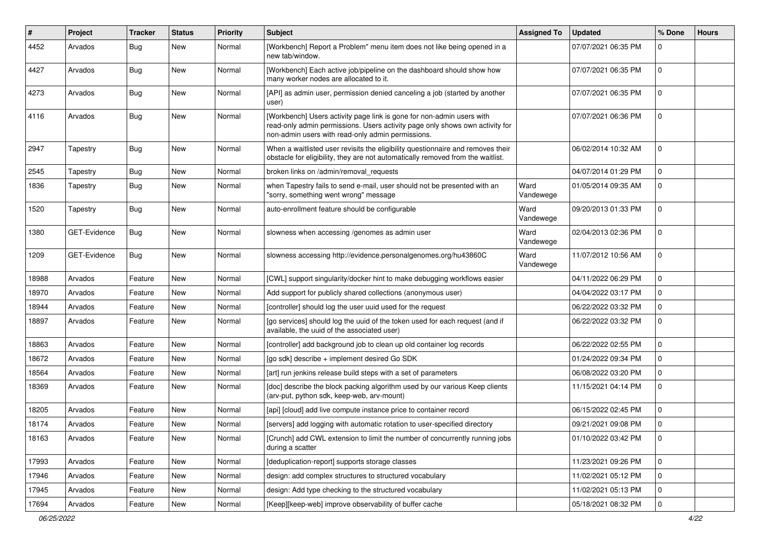| $\vert$ # | Project             | <b>Tracker</b> | <b>Status</b> | Priority | Subject                                                                                                                                                                                                    | <b>Assigned To</b> | <b>Updated</b>      | % Done       | <b>Hours</b> |
|-----------|---------------------|----------------|---------------|----------|------------------------------------------------------------------------------------------------------------------------------------------------------------------------------------------------------------|--------------------|---------------------|--------------|--------------|
| 4452      | Arvados             | Bug            | New           | Normal   | [Workbench] Report a Problem" menu item does not like being opened in a<br>new tab/window.                                                                                                                 |                    | 07/07/2021 06:35 PM | 0            |              |
| 4427      | Arvados             | Bug            | New           | Normal   | [Workbench] Each active job/pipeline on the dashboard should show how<br>many worker nodes are allocated to it.                                                                                            |                    | 07/07/2021 06:35 PM | $\mathbf{0}$ |              |
| 4273      | Arvados             | Bug            | New           | Normal   | [API] as admin user, permission denied canceling a job (started by another<br>user)                                                                                                                        |                    | 07/07/2021 06:35 PM | 0            |              |
| 4116      | Arvados             | Bug            | New           | Normal   | [Workbench] Users activity page link is gone for non-admin users with<br>read-only admin permissions. Users activity page only shows own activity for<br>non-admin users with read-only admin permissions. |                    | 07/07/2021 06:36 PM | $\mathbf 0$  |              |
| 2947      | Tapestry            | Bug            | New           | Normal   | When a waitlisted user revisits the eligibility questionnaire and removes their<br>obstacle for eligibility, they are not automatically removed from the waitlist.                                         |                    | 06/02/2014 10:32 AM | $\mathbf 0$  |              |
| 2545      | Tapestry            | <b>Bug</b>     | New           | Normal   | broken links on /admin/removal requests                                                                                                                                                                    |                    | 04/07/2014 01:29 PM | 0            |              |
| 1836      | Tapestry            | <b>Bug</b>     | New           | Normal   | when Tapestry fails to send e-mail, user should not be presented with an<br>"sorry, something went wrong" message                                                                                          | Ward<br>Vandewege  | 01/05/2014 09:35 AM | $\mathbf{0}$ |              |
| 1520      | Tapestry            | Bug            | New           | Normal   | auto-enrollment feature should be configurable                                                                                                                                                             | Ward<br>Vandewege  | 09/20/2013 01:33 PM | 0            |              |
| 1380      | <b>GET-Evidence</b> | Bug            | New           | Normal   | slowness when accessing /genomes as admin user                                                                                                                                                             | Ward<br>Vandewege  | 02/04/2013 02:36 PM | $\mathbf{0}$ |              |
| 1209      | GET-Evidence        | Bug            | New           | Normal   | slowness accessing http://evidence.personalgenomes.org/hu43860C                                                                                                                                            | Ward<br>Vandewege  | 11/07/2012 10:56 AM | $\mathbf{0}$ |              |
| 18988     | Arvados             | Feature        | <b>New</b>    | Normal   | [CWL] support singularity/docker hint to make debugging workflows easier                                                                                                                                   |                    | 04/11/2022 06:29 PM | $\mathbf 0$  |              |
| 18970     | Arvados             | Feature        | New           | Normal   | Add support for publicly shared collections (anonymous user)                                                                                                                                               |                    | 04/04/2022 03:17 PM | $\mathbf{0}$ |              |
| 18944     | Arvados             | Feature        | New           | Normal   | [controller] should log the user uuid used for the request                                                                                                                                                 |                    | 06/22/2022 03:32 PM | 0            |              |
| 18897     | Arvados             | Feature        | New           | Normal   | [go services] should log the uuid of the token used for each request (and if<br>available, the uuid of the associated user)                                                                                |                    | 06/22/2022 03:32 PM | $\Omega$     |              |
| 18863     | Arvados             | Feature        | New           | Normal   | [controller] add background job to clean up old container log records                                                                                                                                      |                    | 06/22/2022 02:55 PM | 0            |              |
| 18672     | Arvados             | Feature        | New           | Normal   | [go sdk] describe + implement desired Go SDK                                                                                                                                                               |                    | 01/24/2022 09:34 PM | $\mathbf{0}$ |              |
| 18564     | Arvados             | Feature        | New           | Normal   | [art] run jenkins release build steps with a set of parameters                                                                                                                                             |                    | 06/08/2022 03:20 PM | 0            |              |
| 18369     | Arvados             | Feature        | New           | Normal   | [doc] describe the block packing algorithm used by our various Keep clients<br>(arv-put, python sdk, keep-web, arv-mount)                                                                                  |                    | 11/15/2021 04:14 PM | $\mathbf{0}$ |              |
| 18205     | Arvados             | Feature        | New           | Normal   | [api] [cloud] add live compute instance price to container record                                                                                                                                          |                    | 06/15/2022 02:45 PM | 0            |              |
| 18174     | Arvados             | Feature        | New           | Normal   | [servers] add logging with automatic rotation to user-specified directory                                                                                                                                  |                    | 09/21/2021 09:08 PM | 0            |              |
| 18163     | Arvados             | Feature        | New           | Normal   | [Crunch] add CWL extension to limit the number of concurrently running jobs<br>during a scatter                                                                                                            |                    | 01/10/2022 03:42 PM | $\mathbf 0$  |              |
| 17993     | Arvados             | Feature        | New           | Normal   | [deduplication-report] supports storage classes                                                                                                                                                            |                    | 11/23/2021 09:26 PM | $\mathbf 0$  |              |
| 17946     | Arvados             | Feature        | New           | Normal   | design: add complex structures to structured vocabulary                                                                                                                                                    |                    | 11/02/2021 05:12 PM | 0            |              |
| 17945     | Arvados             | Feature        | New           | Normal   | design: Add type checking to the structured vocabulary                                                                                                                                                     |                    | 11/02/2021 05:13 PM | 0            |              |
| 17694     | Arvados             | Feature        | New           | Normal   | [Keep][keep-web] improve observability of buffer cache                                                                                                                                                     |                    | 05/18/2021 08:32 PM | $\mathbf 0$  |              |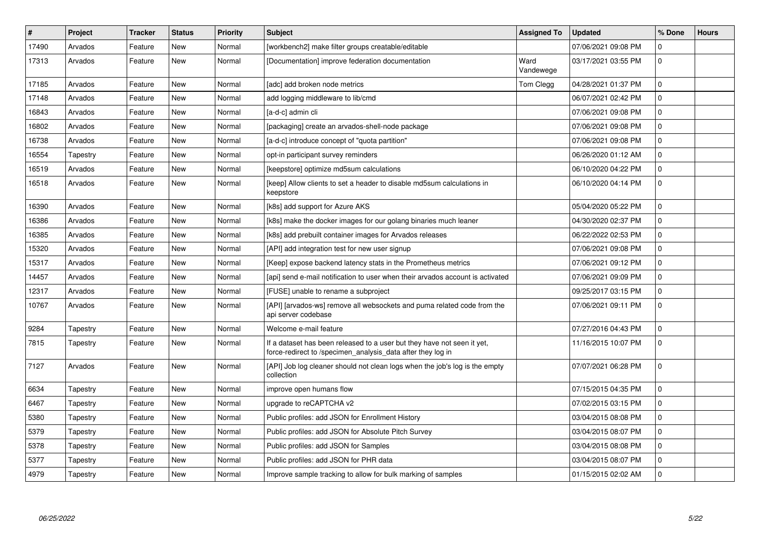| $\pmb{\#}$ | Project  | <b>Tracker</b> | <b>Status</b> | Priority | <b>Subject</b>                                                                                                                         | <b>Assigned To</b> | <b>Updated</b>      | % Done         | <b>Hours</b> |
|------------|----------|----------------|---------------|----------|----------------------------------------------------------------------------------------------------------------------------------------|--------------------|---------------------|----------------|--------------|
| 17490      | Arvados  | Feature        | New           | Normal   | [workbench2] make filter groups creatable/editable                                                                                     |                    | 07/06/2021 09:08 PM | 0              |              |
| 17313      | Arvados  | Feature        | New           | Normal   | [Documentation] improve federation documentation                                                                                       | Ward<br>Vandewege  | 03/17/2021 03:55 PM | 0              |              |
| 17185      | Arvados  | Feature        | New           | Normal   | [adc] add broken node metrics                                                                                                          | Tom Clegg          | 04/28/2021 01:37 PM | $\mathbf 0$    |              |
| 17148      | Arvados  | Feature        | New           | Normal   | add logging middleware to lib/cmd                                                                                                      |                    | 06/07/2021 02:42 PM | $\Omega$       |              |
| 16843      | Arvados  | Feature        | New           | Normal   | [a-d-c] admin cli                                                                                                                      |                    | 07/06/2021 09:08 PM | $\Omega$       |              |
| 16802      | Arvados  | Feature        | New           | Normal   | [packaging] create an arvados-shell-node package                                                                                       |                    | 07/06/2021 09:08 PM | 0              |              |
| 16738      | Arvados  | Feature        | New           | Normal   | [a-d-c] introduce concept of "quota partition"                                                                                         |                    | 07/06/2021 09:08 PM | 0              |              |
| 16554      | Tapestry | Feature        | New           | Normal   | opt-in participant survey reminders                                                                                                    |                    | 06/26/2020 01:12 AM | $\Omega$       |              |
| 16519      | Arvados  | Feature        | New           | Normal   | [keepstore] optimize md5sum calculations                                                                                               |                    | 06/10/2020 04:22 PM | $\overline{0}$ |              |
| 16518      | Arvados  | Feature        | New           | Normal   | [keep] Allow clients to set a header to disable md5sum calculations in<br>keepstore                                                    |                    | 06/10/2020 04:14 PM | $\Omega$       |              |
| 16390      | Arvados  | Feature        | New           | Normal   | [k8s] add support for Azure AKS                                                                                                        |                    | 05/04/2020 05:22 PM | $\mathbf 0$    |              |
| 16386      | Arvados  | Feature        | New           | Normal   | [k8s] make the docker images for our golang binaries much leaner                                                                       |                    | 04/30/2020 02:37 PM | $\Omega$       |              |
| 16385      | Arvados  | Feature        | New           | Normal   | [k8s] add prebuilt container images for Arvados releases                                                                               |                    | 06/22/2022 02:53 PM | $\Omega$       |              |
| 15320      | Arvados  | Feature        | New           | Normal   | [API] add integration test for new user signup                                                                                         |                    | 07/06/2021 09:08 PM | $\mathbf{0}$   |              |
| 15317      | Arvados  | Feature        | New           | Normal   | [Keep] expose backend latency stats in the Prometheus metrics                                                                          |                    | 07/06/2021 09:12 PM | 0              |              |
| 14457      | Arvados  | Feature        | New           | Normal   | [api] send e-mail notification to user when their arvados account is activated                                                         |                    | 07/06/2021 09:09 PM | $\mathbf{0}$   |              |
| 12317      | Arvados  | Feature        | New           | Normal   | [FUSE] unable to rename a subproject                                                                                                   |                    | 09/25/2017 03:15 PM | $\Omega$       |              |
| 10767      | Arvados  | Feature        | New           | Normal   | [API] [arvados-ws] remove all websockets and puma related code from the<br>api server codebase                                         |                    | 07/06/2021 09:11 PM | $\Omega$       |              |
| 9284       | Tapestry | Feature        | New           | Normal   | Welcome e-mail feature                                                                                                                 |                    | 07/27/2016 04:43 PM | $\mathbf 0$    |              |
| 7815       | Tapestry | Feature        | New           | Normal   | If a dataset has been released to a user but they have not seen it yet,<br>force-redirect to /specimen analysis data after they log in |                    | 11/16/2015 10:07 PM | $\mathbf 0$    |              |
| 7127       | Arvados  | Feature        | New           | Normal   | [API] Job log cleaner should not clean logs when the job's log is the empty<br>collection                                              |                    | 07/07/2021 06:28 PM | $\Omega$       |              |
| 6634       | Tapestry | Feature        | New           | Normal   | improve open humans flow                                                                                                               |                    | 07/15/2015 04:35 PM | $\overline{0}$ |              |
| 6467       | Tapestry | Feature        | New           | Normal   | upgrade to reCAPTCHA v2                                                                                                                |                    | 07/02/2015 03:15 PM | 0              |              |
| 5380       | Tapestry | Feature        | New           | Normal   | Public profiles: add JSON for Enrollment History                                                                                       |                    | 03/04/2015 08:08 PM | $\mathbf{0}$   |              |
| 5379       | Tapestry | Feature        | <b>New</b>    | Normal   | Public profiles: add JSON for Absolute Pitch Survey                                                                                    |                    | 03/04/2015 08:07 PM | $\Omega$       |              |
| 5378       | Tapestry | Feature        | New           | Normal   | Public profiles: add JSON for Samples                                                                                                  |                    | 03/04/2015 08:08 PM | $\Omega$       |              |
| 5377       | Tapestry | Feature        | New           | Normal   | Public profiles: add JSON for PHR data                                                                                                 |                    | 03/04/2015 08:07 PM | $\mathbf{0}$   |              |
| 4979       | Tapestry | Feature        | <b>New</b>    | Normal   | Improve sample tracking to allow for bulk marking of samples                                                                           |                    | 01/15/2015 02:02 AM | $\mathbf 0$    |              |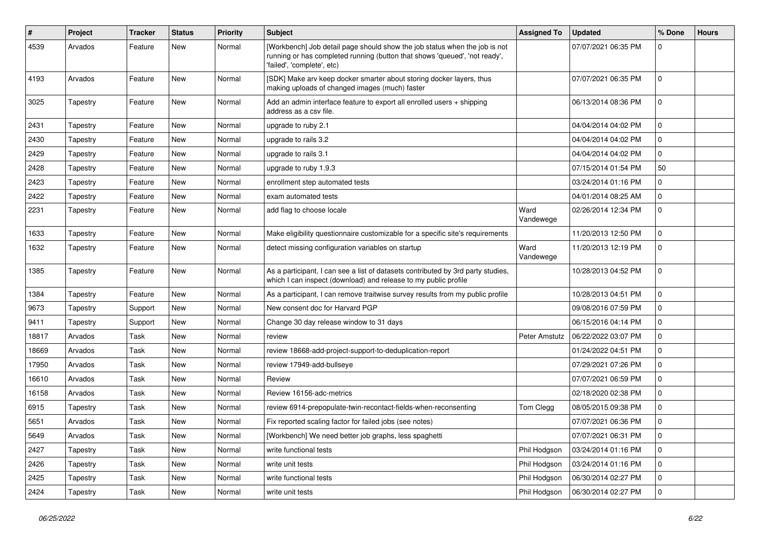| #     | Project  | <b>Tracker</b> | <b>Status</b> | <b>Priority</b> | Subject                                                                                                                                                                                | <b>Assigned To</b> | <b>Updated</b>      | % Done       | <b>Hours</b> |
|-------|----------|----------------|---------------|-----------------|----------------------------------------------------------------------------------------------------------------------------------------------------------------------------------------|--------------------|---------------------|--------------|--------------|
| 4539  | Arvados  | Feature        | New           | Normal          | [Workbench] Job detail page should show the job status when the job is not<br>running or has completed running (button that shows 'queued', 'not ready',<br>'failed', 'complete', etc) |                    | 07/07/2021 06:35 PM | 0            |              |
| 4193  | Arvados  | Feature        | New           | Normal          | [SDK] Make arv keep docker smarter about storing docker layers, thus<br>making uploads of changed images (much) faster                                                                 |                    | 07/07/2021 06:35 PM | $\mathbf 0$  |              |
| 3025  | Tapestry | Feature        | New           | Normal          | Add an admin interface feature to export all enrolled users $+$ shipping<br>address as a csv file.                                                                                     |                    | 06/13/2014 08:36 PM | 0            |              |
| 2431  | Tapestry | Feature        | New           | Normal          | upgrade to ruby 2.1                                                                                                                                                                    |                    | 04/04/2014 04:02 PM | 0            |              |
| 2430  | Tapestry | Feature        | New           | Normal          | upgrade to rails 3.2                                                                                                                                                                   |                    | 04/04/2014 04:02 PM | 0            |              |
| 2429  | Tapestry | Feature        | New           | Normal          | upgrade to rails 3.1                                                                                                                                                                   |                    | 04/04/2014 04:02 PM | 0            |              |
| 2428  | Tapestry | Feature        | New           | Normal          | upgrade to ruby 1.9.3                                                                                                                                                                  |                    | 07/15/2014 01:54 PM | 50           |              |
| 2423  | Tapestry | Feature        | New           | Normal          | enrollment step automated tests                                                                                                                                                        |                    | 03/24/2014 01:16 PM | 0            |              |
| 2422  | Tapestry | Feature        | New           | Normal          | exam automated tests                                                                                                                                                                   |                    | 04/01/2014 08:25 AM | 0            |              |
| 2231  | Tapestry | Feature        | New           | Normal          | add flag to choose locale                                                                                                                                                              | Ward<br>Vandewege  | 02/26/2014 12:34 PM | 0            |              |
| 1633  | Tapestry | Feature        | New           | Normal          | Make eligibility questionnaire customizable for a specific site's requirements                                                                                                         |                    | 11/20/2013 12:50 PM | 0            |              |
| 1632  | Tapestry | Feature        | New           | Normal          | detect missing configuration variables on startup                                                                                                                                      | Ward<br>Vandewege  | 11/20/2013 12:19 PM | $\Omega$     |              |
| 1385  | Tapestry | Feature        | New           | Normal          | As a participant, I can see a list of datasets contributed by 3rd party studies,<br>which I can inspect (download) and release to my public profile                                    |                    | 10/28/2013 04:52 PM | $\Omega$     |              |
| 1384  | Tapestry | Feature        | New           | Normal          | As a participant, I can remove traitwise survey results from my public profile                                                                                                         |                    | 10/28/2013 04:51 PM | $\mathbf{0}$ |              |
| 9673  | Tapestry | Support        | New           | Normal          | New consent doc for Harvard PGP                                                                                                                                                        |                    | 09/08/2016 07:59 PM | 0            |              |
| 9411  | Tapestry | Support        | New           | Normal          | Change 30 day release window to 31 days                                                                                                                                                |                    | 06/15/2016 04:14 PM | 0            |              |
| 18817 | Arvados  | Task           | New           | Normal          | review                                                                                                                                                                                 | Peter Amstutz      | 06/22/2022 03:07 PM | 0            |              |
| 18669 | Arvados  | Task           | New           | Normal          | review 18668-add-project-support-to-deduplication-report                                                                                                                               |                    | 01/24/2022 04:51 PM | 0            |              |
| 17950 | Arvados  | Task           | New           | Normal          | review 17949-add-bullseye                                                                                                                                                              |                    | 07/29/2021 07:26 PM | 0            |              |
| 16610 | Arvados  | Task           | New           | Normal          | Review                                                                                                                                                                                 |                    | 07/07/2021 06:59 PM | $\mathbf 0$  |              |
| 16158 | Arvados  | Task           | New           | Normal          | Review 16156-adc-metrics                                                                                                                                                               |                    | 02/18/2020 02:38 PM | 0            |              |
| 6915  | Tapestry | Task           | New           | Normal          | review 6914-prepopulate-twin-recontact-fields-when-reconsenting                                                                                                                        | Tom Clegg          | 08/05/2015 09:38 PM | 0            |              |
| 5651  | Arvados  | Task           | New           | Normal          | Fix reported scaling factor for failed jobs (see notes)                                                                                                                                |                    | 07/07/2021 06:36 PM | 0            |              |
| 5649  | Arvados  | Task           | New           | Normal          | [Workbench] We need better job graphs, less spaghetti                                                                                                                                  |                    | 07/07/2021 06:31 PM | 0            |              |
| 2427  | Tapestry | Task           | New           | Normal          | write functional tests                                                                                                                                                                 | Phil Hodgson       | 03/24/2014 01:16 PM | $\mathbf 0$  |              |
| 2426  | Tapestry | Task           | New           | Normal          | write unit tests                                                                                                                                                                       | Phil Hodgson       | 03/24/2014 01:16 PM | $\mathbf 0$  |              |
| 2425  | Tapestry | Task           | New           | Normal          | write functional tests                                                                                                                                                                 | Phil Hodgson       | 06/30/2014 02:27 PM | $\mathbf 0$  |              |
| 2424  | Tapestry | Task           | New           | Normal          | write unit tests                                                                                                                                                                       | Phil Hodgson       | 06/30/2014 02:27 PM | $\mathbf 0$  |              |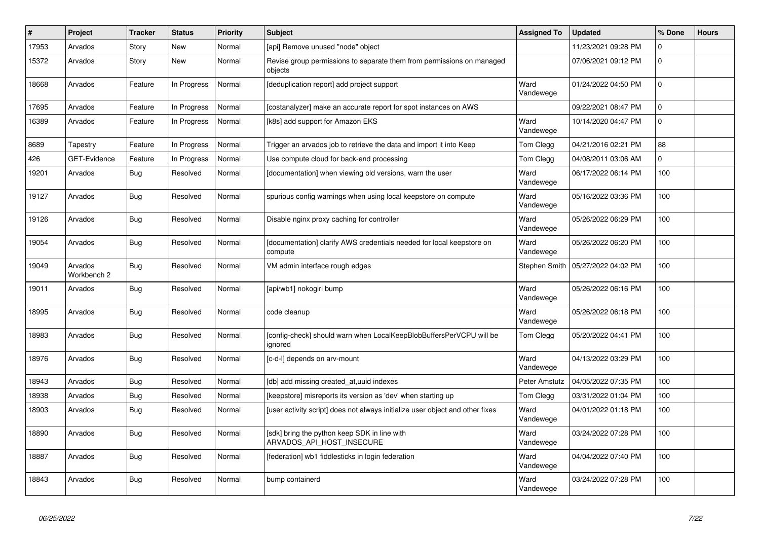| $\vert$ # | Project                | <b>Tracker</b> | <b>Status</b> | Priority | <b>Subject</b>                                                                   | <b>Assigned To</b> | <b>Updated</b>      | % Done       | <b>Hours</b> |
|-----------|------------------------|----------------|---------------|----------|----------------------------------------------------------------------------------|--------------------|---------------------|--------------|--------------|
| 17953     | Arvados                | Story          | New           | Normal   | [api] Remove unused "node" object                                                |                    | 11/23/2021 09:28 PM | 0            |              |
| 15372     | Arvados                | Story          | New           | Normal   | Revise group permissions to separate them from permissions on managed<br>objects |                    | 07/06/2021 09:12 PM | $\Omega$     |              |
| 18668     | Arvados                | Feature        | In Progress   | Normal   | [deduplication report] add project support                                       | Ward<br>Vandewege  | 01/24/2022 04:50 PM | $\Omega$     |              |
| 17695     | Arvados                | Feature        | In Progress   | Normal   | [costanalyzer] make an accurate report for spot instances on AWS                 |                    | 09/22/2021 08:47 PM | $\Omega$     |              |
| 16389     | Arvados                | Feature        | In Progress   | Normal   | [k8s] add support for Amazon EKS                                                 | Ward<br>Vandewege  | 10/14/2020 04:47 PM | $\Omega$     |              |
| 8689      | Tapestry               | Feature        | In Progress   | Normal   | Trigger an arvados job to retrieve the data and import it into Keep              | Tom Clegg          | 04/21/2016 02:21 PM | 88           |              |
| 426       | <b>GET-Evidence</b>    | Feature        | In Progress   | Normal   | Use compute cloud for back-end processing                                        | Tom Clegg          | 04/08/2011 03:06 AM | $\mathbf{0}$ |              |
| 19201     | Arvados                | <b>Bug</b>     | Resolved      | Normal   | [documentation] when viewing old versions, warn the user                         | Ward<br>Vandewege  | 06/17/2022 06:14 PM | 100          |              |
| 19127     | Arvados                | <b>Bug</b>     | Resolved      | Normal   | spurious config warnings when using local keepstore on compute                   | Ward<br>Vandewege  | 05/16/2022 03:36 PM | 100          |              |
| 19126     | Arvados                | <b>Bug</b>     | Resolved      | Normal   | Disable nginx proxy caching for controller                                       | Ward<br>Vandewege  | 05/26/2022 06:29 PM | 100          |              |
| 19054     | Arvados                | <b>Bug</b>     | Resolved      | Normal   | [documentation] clarify AWS credentials needed for local keepstore on<br>compute | Ward<br>Vandewege  | 05/26/2022 06:20 PM | 100          |              |
| 19049     | Arvados<br>Workbench 2 | <b>Bug</b>     | Resolved      | Normal   | VM admin interface rough edges                                                   | Stephen Smith      | 05/27/2022 04:02 PM | 100          |              |
| 19011     | Arvados                | Bug            | Resolved      | Normal   | [api/wb1] nokogiri bump                                                          | Ward<br>Vandewege  | 05/26/2022 06:16 PM | 100          |              |
| 18995     | Arvados                | <b>Bug</b>     | Resolved      | Normal   | code cleanup                                                                     | Ward<br>Vandewege  | 05/26/2022 06:18 PM | 100          |              |
| 18983     | Arvados                | <b>Bug</b>     | Resolved      | Normal   | [config-check] should warn when LocalKeepBlobBuffersPerVCPU will be<br>ignored   | Tom Clegg          | 05/20/2022 04:41 PM | 100          |              |
| 18976     | Arvados                | Bug            | Resolved      | Normal   | [c-d-l] depends on arv-mount                                                     | Ward<br>Vandewege  | 04/13/2022 03:29 PM | 100          |              |
| 18943     | Arvados                | <b>Bug</b>     | Resolved      | Normal   | [db] add missing created at, uuid indexes                                        | Peter Amstutz      | 04/05/2022 07:35 PM | 100          |              |
| 18938     | Arvados                | <b>Bug</b>     | Resolved      | Normal   | [keepstore] misreports its version as 'dev' when starting up                     | Tom Clegg          | 03/31/2022 01:04 PM | 100          |              |
| 18903     | Arvados                | <b>Bug</b>     | Resolved      | Normal   | [user activity script] does not always initialize user object and other fixes    | Ward<br>Vandewege  | 04/01/2022 01:18 PM | 100          |              |
| 18890     | Arvados                | Bug            | Resolved      | Normal   | [sdk] bring the python keep SDK in line with<br>ARVADOS_API_HOST_INSECURE        | Ward<br>Vandewege  | 03/24/2022 07:28 PM | 100          |              |
| 18887     | Arvados                | Bug            | Resolved      | Normal   | [federation] wb1 fiddlesticks in login federation                                | Ward<br>Vandewege  | 04/04/2022 07:40 PM | 100          |              |
| 18843     | Arvados                | <b>Bug</b>     | Resolved      | Normal   | bump containerd                                                                  | Ward<br>Vandewege  | 03/24/2022 07:28 PM | 100          |              |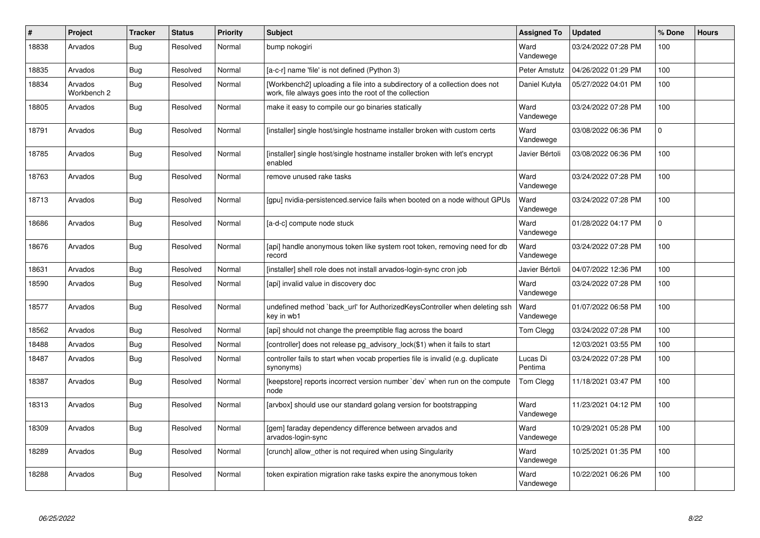| #     | Project                | <b>Tracker</b> | <b>Status</b> | <b>Priority</b> | <b>Subject</b>                                                                                                                       | <b>Assigned To</b>  | <b>Updated</b>      | % Done      | <b>Hours</b> |
|-------|------------------------|----------------|---------------|-----------------|--------------------------------------------------------------------------------------------------------------------------------------|---------------------|---------------------|-------------|--------------|
| 18838 | Arvados                | Bug            | Resolved      | Normal          | bump nokogiri                                                                                                                        | Ward<br>Vandewege   | 03/24/2022 07:28 PM | 100         |              |
| 18835 | Arvados                | <b>Bug</b>     | Resolved      | Normal          | [a-c-r] name 'file' is not defined (Python 3)                                                                                        | Peter Amstutz       | 04/26/2022 01:29 PM | 100         |              |
| 18834 | Arvados<br>Workbench 2 | Bug            | Resolved      | Normal          | [Workbench2] uploading a file into a subdirectory of a collection does not<br>work, file always goes into the root of the collection | Daniel Kutyła       | 05/27/2022 04:01 PM | 100         |              |
| 18805 | Arvados                | Bug            | Resolved      | Normal          | make it easy to compile our go binaries statically                                                                                   | Ward<br>Vandewege   | 03/24/2022 07:28 PM | 100         |              |
| 18791 | Arvados                | Bug            | Resolved      | Normal          | [installer] single host/single hostname installer broken with custom certs                                                           | Ward<br>Vandewege   | 03/08/2022 06:36 PM | $\Omega$    |              |
| 18785 | Arvados                | Bug            | Resolved      | Normal          | [installer] single host/single hostname installer broken with let's encrypt<br>enabled                                               | Javier Bértoli      | 03/08/2022 06:36 PM | 100         |              |
| 18763 | Arvados                | <b>Bug</b>     | Resolved      | Normal          | remove unused rake tasks                                                                                                             | Ward<br>Vandewege   | 03/24/2022 07:28 PM | 100         |              |
| 18713 | Arvados                | Bug            | Resolved      | Normal          | [gpu] nvidia-persistenced.service fails when booted on a node without GPUs                                                           | Ward<br>Vandewege   | 03/24/2022 07:28 PM | 100         |              |
| 18686 | Arvados                | <b>Bug</b>     | Resolved      | Normal          | [a-d-c] compute node stuck                                                                                                           | Ward<br>Vandewege   | 01/28/2022 04:17 PM | $\mathbf 0$ |              |
| 18676 | Arvados                | Bug            | Resolved      | Normal          | [api] handle anonymous token like system root token, removing need for db<br>record                                                  | Ward<br>Vandewege   | 03/24/2022 07:28 PM | 100         |              |
| 18631 | Arvados                | <b>Bug</b>     | Resolved      | Normal          | [installer] shell role does not install arvados-login-sync cron job                                                                  | Javier Bértoli      | 04/07/2022 12:36 PM | 100         |              |
| 18590 | Arvados                | Bug            | Resolved      | Normal          | [api] invalid value in discovery doc                                                                                                 | Ward<br>Vandewege   | 03/24/2022 07:28 PM | 100         |              |
| 18577 | Arvados                | Bug            | Resolved      | Normal          | undefined method `back_url' for AuthorizedKeysController when deleting ssh<br>key in wb1                                             | Ward<br>Vandewege   | 01/07/2022 06:58 PM | 100         |              |
| 18562 | Arvados                | Bug            | Resolved      | Normal          | [api] should not change the preemptible flag across the board                                                                        | Tom Clegg           | 03/24/2022 07:28 PM | 100         |              |
| 18488 | Arvados                | Bug            | Resolved      | Normal          | [controller] does not release pg_advisory_lock(\$1) when it fails to start                                                           |                     | 12/03/2021 03:55 PM | 100         |              |
| 18487 | Arvados                | Bug            | Resolved      | Normal          | controller fails to start when vocab properties file is invalid (e.g. duplicate<br>synonyms)                                         | Lucas Di<br>Pentima | 03/24/2022 07:28 PM | 100         |              |
| 18387 | Arvados                | Bug            | Resolved      | Normal          | [keepstore] reports incorrect version number 'dev' when run on the compute<br>node                                                   | Tom Clegg           | 11/18/2021 03:47 PM | 100         |              |
| 18313 | Arvados                | Bug            | Resolved      | Normal          | [arvbox] should use our standard golang version for bootstrapping                                                                    | Ward<br>Vandewege   | 11/23/2021 04:12 PM | 100         |              |
| 18309 | Arvados                | Bug            | Resolved      | Normal          | [gem] faraday dependency difference between arvados and<br>arvados-login-sync                                                        | Ward<br>Vandewege   | 10/29/2021 05:28 PM | 100         |              |
| 18289 | Arvados                | Bug            | Resolved      | Normal          | [crunch] allow other is not required when using Singularity                                                                          | Ward<br>Vandewege   | 10/25/2021 01:35 PM | 100         |              |
| 18288 | Arvados                | Bug            | Resolved      | Normal          | token expiration migration rake tasks expire the anonymous token                                                                     | Ward<br>Vandewege   | 10/22/2021 06:26 PM | 100         |              |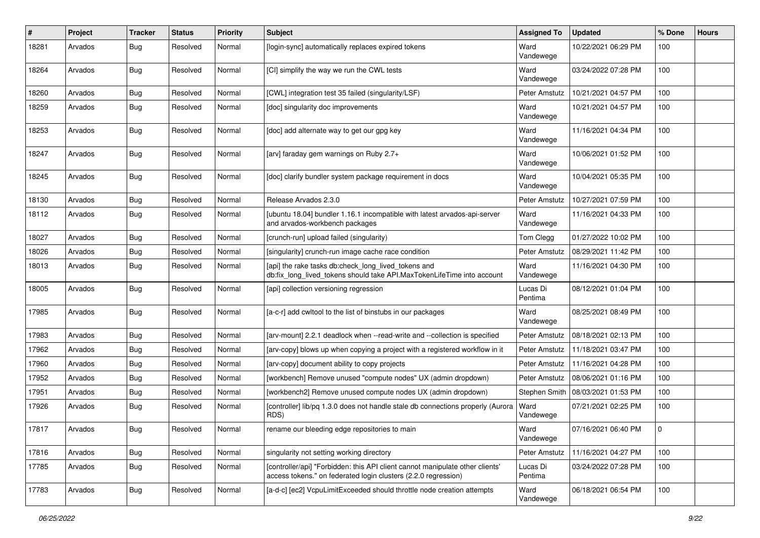| $\pmb{\#}$ | Project | <b>Tracker</b> | <b>Status</b> | <b>Priority</b> | Subject                                                                                                                                         | <b>Assigned To</b>  | <b>Updated</b>      | % Done   | <b>Hours</b> |
|------------|---------|----------------|---------------|-----------------|-------------------------------------------------------------------------------------------------------------------------------------------------|---------------------|---------------------|----------|--------------|
| 18281      | Arvados | <b>Bug</b>     | Resolved      | Normal          | [login-sync] automatically replaces expired tokens                                                                                              | Ward<br>Vandewege   | 10/22/2021 06:29 PM | 100      |              |
| 18264      | Arvados | Bug            | Resolved      | Normal          | [CI] simplify the way we run the CWL tests                                                                                                      | Ward<br>Vandewege   | 03/24/2022 07:28 PM | 100      |              |
| 18260      | Arvados | <b>Bug</b>     | Resolved      | Normal          | [CWL] integration test 35 failed (singularity/LSF)                                                                                              | Peter Amstutz       | 10/21/2021 04:57 PM | 100      |              |
| 18259      | Arvados | Bug            | Resolved      | Normal          | [doc] singularity doc improvements                                                                                                              | Ward<br>Vandewege   | 10/21/2021 04:57 PM | 100      |              |
| 18253      | Arvados | Bug            | Resolved      | Normal          | [doc] add alternate way to get our gpg key                                                                                                      | Ward<br>Vandewege   | 11/16/2021 04:34 PM | 100      |              |
| 18247      | Arvados | <b>Bug</b>     | Resolved      | Normal          | [arv] faraday gem warnings on Ruby 2.7+                                                                                                         | Ward<br>Vandewege   | 10/06/2021 01:52 PM | 100      |              |
| 18245      | Arvados | <b>Bug</b>     | Resolved      | Normal          | [doc] clarify bundler system package requirement in docs                                                                                        | Ward<br>Vandewege   | 10/04/2021 05:35 PM | 100      |              |
| 18130      | Arvados | Bug            | Resolved      | Normal          | Release Arvados 2.3.0                                                                                                                           | Peter Amstutz       | 10/27/2021 07:59 PM | 100      |              |
| 18112      | Arvados | <b>Bug</b>     | Resolved      | Normal          | [ubuntu 18.04] bundler 1.16.1 incompatible with latest arvados-api-server<br>and arvados-workbench packages                                     | Ward<br>Vandewege   | 11/16/2021 04:33 PM | 100      |              |
| 18027      | Arvados | <b>Bug</b>     | Resolved      | Normal          | [crunch-run] upload failed (singularity)                                                                                                        | Tom Clegg           | 01/27/2022 10:02 PM | 100      |              |
| 18026      | Arvados | <b>Bug</b>     | Resolved      | Normal          | [singularity] crunch-run image cache race condition                                                                                             | Peter Amstutz       | 08/29/2021 11:42 PM | 100      |              |
| 18013      | Arvados | Bug            | Resolved      | Normal          | [api] the rake tasks db:check long lived tokens and<br>db:fix_long_lived_tokens should take API.MaxTokenLifeTime into account                   | Ward<br>Vandewege   | 11/16/2021 04:30 PM | 100      |              |
| 18005      | Arvados | <b>Bug</b>     | Resolved      | Normal          | [api] collection versioning regression                                                                                                          | Lucas Di<br>Pentima | 08/12/2021 01:04 PM | 100      |              |
| 17985      | Arvados | Bug            | Resolved      | Normal          | [a-c-r] add cwltool to the list of binstubs in our packages                                                                                     | Ward<br>Vandewege   | 08/25/2021 08:49 PM | 100      |              |
| 17983      | Arvados | <b>Bug</b>     | Resolved      | Normal          | [arv-mount] 2.2.1 deadlock when --read-write and --collection is specified                                                                      | Peter Amstutz       | 08/18/2021 02:13 PM | 100      |              |
| 17962      | Arvados | <b>Bug</b>     | Resolved      | Normal          | [arv-copy] blows up when copying a project with a registered workflow in it                                                                     | Peter Amstutz       | 11/18/2021 03:47 PM | 100      |              |
| 17960      | Arvados | <b>Bug</b>     | Resolved      | Normal          | [arv-copy] document ability to copy projects                                                                                                    | Peter Amstutz       | 11/16/2021 04:28 PM | 100      |              |
| 17952      | Arvados | <b>Bug</b>     | Resolved      | Normal          | [workbench] Remove unused "compute nodes" UX (admin dropdown)                                                                                   | Peter Amstutz       | 08/06/2021 01:16 PM | 100      |              |
| 17951      | Arvados | <b>Bug</b>     | Resolved      | Normal          | [workbench2] Remove unused compute nodes UX (admin dropdown)                                                                                    | Stephen Smith       | 08/03/2021 01:53 PM | 100      |              |
| 17926      | Arvados | Bug            | Resolved      | Normal          | [controller] lib/pq 1.3.0 does not handle stale db connections properly (Aurora<br>RDS)                                                         | Ward<br>Vandewege   | 07/21/2021 02:25 PM | 100      |              |
| 17817      | Arvados | <b>Bug</b>     | Resolved      | Normal          | rename our bleeding edge repositories to main                                                                                                   | Ward<br>Vandewege   | 07/16/2021 06:40 PM | <u>n</u> |              |
| 17816      | Arvados | <b>Bug</b>     | Resolved      | Normal          | singularity not setting working directory                                                                                                       | Peter Amstutz       | 11/16/2021 04:27 PM | 100      |              |
| 17785      | Arvados | <b>Bug</b>     | Resolved      | Normal          | [controller/api] "Forbidden: this API client cannot manipulate other clients'<br>access tokens." on federated login clusters (2.2.0 regression) | Lucas Di<br>Pentima | 03/24/2022 07:28 PM | 100      |              |
| 17783      | Arvados | <b>Bug</b>     | Resolved      | Normal          | [a-d-c] [ec2] VcpuLimitExceeded should throttle node creation attempts                                                                          | Ward<br>Vandewege   | 06/18/2021 06:54 PM | 100      |              |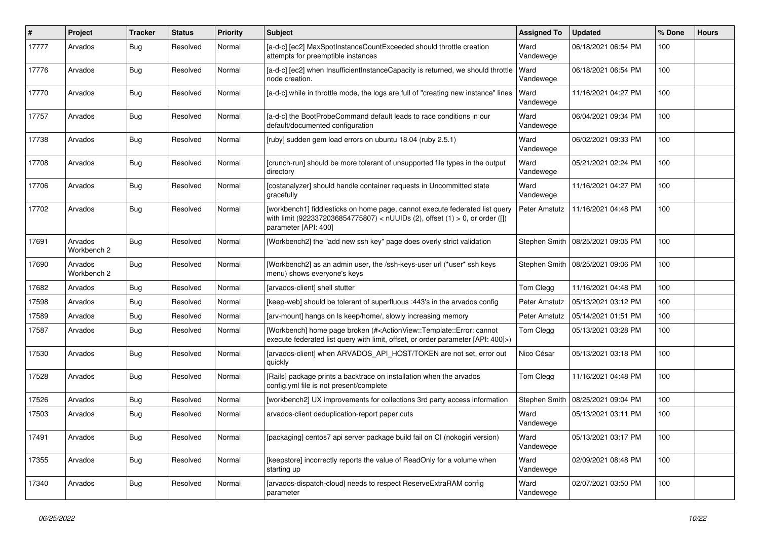| #     | Project                | <b>Tracker</b> | <b>Status</b> | <b>Priority</b> | Subject                                                                                                                                                                                       | <b>Assigned To</b> | <b>Updated</b>                      | % Done | <b>Hours</b> |
|-------|------------------------|----------------|---------------|-----------------|-----------------------------------------------------------------------------------------------------------------------------------------------------------------------------------------------|--------------------|-------------------------------------|--------|--------------|
| 17777 | Arvados                | <b>Bug</b>     | Resolved      | Normal          | [a-d-c] [ec2] MaxSpotInstanceCountExceeded should throttle creation<br>attempts for preemptible instances                                                                                     | Ward<br>Vandewege  | 06/18/2021 06:54 PM                 | 100    |              |
| 17776 | Arvados                | <b>Bug</b>     | Resolved      | Normal          | [a-d-c] [ec2] when InsufficientInstanceCapacity is returned, we should throttle<br>node creation.                                                                                             | Ward<br>Vandewege  | 06/18/2021 06:54 PM                 | 100    |              |
| 17770 | Arvados                | <b>Bug</b>     | Resolved      | Normal          | [a-d-c] while in throttle mode, the logs are full of "creating new instance" lines                                                                                                            | Ward<br>Vandewege  | 11/16/2021 04:27 PM                 | 100    |              |
| 17757 | Arvados                | Bug            | Resolved      | Normal          | [a-d-c] the BootProbeCommand default leads to race conditions in our<br>default/documented configuration                                                                                      | Ward<br>Vandewege  | 06/04/2021 09:34 PM                 | 100    |              |
| 17738 | Arvados                | <b>Bug</b>     | Resolved      | Normal          | [ruby] sudden gem load errors on ubuntu 18.04 (ruby 2.5.1)                                                                                                                                    | Ward<br>Vandewege  | 06/02/2021 09:33 PM                 | 100    |              |
| 17708 | Arvados                | Bug            | Resolved      | Normal          | [crunch-run] should be more tolerant of unsupported file types in the output<br>directory                                                                                                     | Ward<br>Vandewege  | 05/21/2021 02:24 PM                 | 100    |              |
| 17706 | Arvados                | <b>Bug</b>     | Resolved      | Normal          | [costanalyzer] should handle container requests in Uncommitted state<br>gracefully                                                                                                            | Ward<br>Vandewege  | 11/16/2021 04:27 PM                 | 100    |              |
| 17702 | Arvados                | <b>Bug</b>     | Resolved      | Normal          | [workbench1] fiddlesticks on home page, cannot execute federated list query<br>with limit (9223372036854775807) < nUUIDs (2), offset (1) > 0, or order ([])<br>parameter [API: 400]           | Peter Amstutz      | 11/16/2021 04:48 PM                 | 100    |              |
| 17691 | Arvados<br>Workbench 2 | Bug            | Resolved      | Normal          | [Workbench2] the "add new ssh key" page does overly strict validation                                                                                                                         |                    | Stephen Smith   08/25/2021 09:05 PM | 100    |              |
| 17690 | Arvados<br>Workbench 2 | <b>Bug</b>     | Resolved      | Normal          | [Workbench2] as an admin user, the /ssh-keys-user url (*user* ssh keys<br>menu) shows everyone's keys                                                                                         | Stephen Smith      | 08/25/2021 09:06 PM                 | 100    |              |
| 17682 | Arvados                | <b>Bug</b>     | Resolved      | Normal          | [arvados-client] shell stutter                                                                                                                                                                | Tom Clegg          | 11/16/2021 04:48 PM                 | 100    |              |
| 17598 | Arvados                | <b>Bug</b>     | Resolved      | Normal          | [keep-web] should be tolerant of superfluous :443's in the arvados config                                                                                                                     | Peter Amstutz      | 05/13/2021 03:12 PM                 | 100    |              |
| 17589 | Arvados                | <b>Bug</b>     | Resolved      | Normal          | [arv-mount] hangs on Is keep/home/, slowly increasing memory                                                                                                                                  | Peter Amstutz      | 05/14/2021 01:51 PM                 | 100    |              |
| 17587 | Arvados                | Bug            | Resolved      | Normal          | [Workbench] home page broken (# <actionview::template::error: cannot<br="">execute federated list query with limit, offset, or order parameter [API: 400]&gt;)</actionview::template::error:> | Tom Clegg          | 05/13/2021 03:28 PM                 | 100    |              |
| 17530 | Arvados                | <b>Bug</b>     | Resolved      | Normal          | [arvados-client] when ARVADOS API HOST/TOKEN are not set, error out<br>quickly                                                                                                                | Nico César         | 05/13/2021 03:18 PM                 | 100    |              |
| 17528 | Arvados                | Bug            | Resolved      | Normal          | [Rails] package prints a backtrace on installation when the arvados<br>config.yml file is not present/complete                                                                                | Tom Clegg          | 11/16/2021 04:48 PM                 | 100    |              |
| 17526 | Arvados                | <b>Bug</b>     | Resolved      | Normal          | [workbench2] UX improvements for collections 3rd party access information                                                                                                                     | Stephen Smith      | 08/25/2021 09:04 PM                 | 100    |              |
| 17503 | Arvados                | <b>Bug</b>     | Resolved      | Normal          | arvados-client deduplication-report paper cuts                                                                                                                                                | Ward<br>Vandewege  | 05/13/2021 03:11 PM                 | 100    |              |
| 17491 | Arvados                | <b>Bug</b>     | Resolved      | Normal          | [packaging] centos7 api server package build fail on CI (nokogiri version)                                                                                                                    | Ward<br>Vandewege  | 05/13/2021 03:17 PM                 | 100    |              |
| 17355 | Arvados                | <b>Bug</b>     | Resolved      | Normal          | [keepstore] incorrectly reports the value of ReadOnly for a volume when<br>starting up                                                                                                        | Ward<br>Vandewege  | 02/09/2021 08:48 PM                 | 100    |              |
| 17340 | Arvados                | <b>Bug</b>     | Resolved      | Normal          | [arvados-dispatch-cloud] needs to respect ReserveExtraRAM config<br>parameter                                                                                                                 | Ward<br>Vandewege  | 02/07/2021 03:50 PM                 | 100    |              |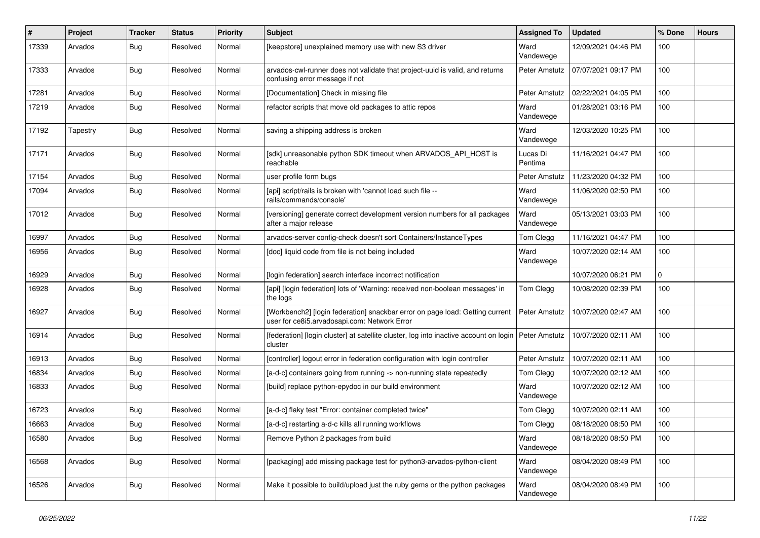| $\sharp$ | Project  | <b>Tracker</b> | <b>Status</b> | <b>Priority</b> | <b>Subject</b>                                                                                                               | <b>Assigned To</b>  | <b>Updated</b>      | % Done | <b>Hours</b> |
|----------|----------|----------------|---------------|-----------------|------------------------------------------------------------------------------------------------------------------------------|---------------------|---------------------|--------|--------------|
| 17339    | Arvados  | Bug            | Resolved      | Normal          | [keepstore] unexplained memory use with new S3 driver                                                                        | Ward<br>Vandewege   | 12/09/2021 04:46 PM | 100    |              |
| 17333    | Arvados  | <b>Bug</b>     | Resolved      | Normal          | arvados-cwl-runner does not validate that project-uuid is valid, and returns<br>confusing error message if not               | Peter Amstutz       | 07/07/2021 09:17 PM | 100    |              |
| 17281    | Arvados  | <b>Bug</b>     | Resolved      | Normal          | [Documentation] Check in missing file                                                                                        | Peter Amstutz       | 02/22/2021 04:05 PM | 100    |              |
| 17219    | Arvados  | Bug            | Resolved      | Normal          | refactor scripts that move old packages to attic repos                                                                       | Ward<br>Vandewege   | 01/28/2021 03:16 PM | 100    |              |
| 17192    | Tapestry | Bug            | Resolved      | Normal          | saving a shipping address is broken                                                                                          | Ward<br>Vandewege   | 12/03/2020 10:25 PM | 100    |              |
| 17171    | Arvados  | <b>Bug</b>     | Resolved      | Normal          | [sdk] unreasonable python SDK timeout when ARVADOS_API_HOST is<br>reachable                                                  | Lucas Di<br>Pentima | 11/16/2021 04:47 PM | 100    |              |
| 17154    | Arvados  | Bug            | Resolved      | Normal          | user profile form bugs                                                                                                       | Peter Amstutz       | 11/23/2020 04:32 PM | 100    |              |
| 17094    | Arvados  | <b>Bug</b>     | Resolved      | Normal          | [api] script/rails is broken with 'cannot load such file --<br>rails/commands/console'                                       | Ward<br>Vandewege   | 11/06/2020 02:50 PM | 100    |              |
| 17012    | Arvados  | Bug            | Resolved      | Normal          | [versioning] generate correct development version numbers for all packages<br>after a major release                          | Ward<br>Vandewege   | 05/13/2021 03:03 PM | 100    |              |
| 16997    | Arvados  | <b>Bug</b>     | Resolved      | Normal          | arvados-server config-check doesn't sort Containers/InstanceTypes                                                            | Tom Clegg           | 11/16/2021 04:47 PM | 100    |              |
| 16956    | Arvados  | <b>Bug</b>     | Resolved      | Normal          | [doc] liquid code from file is not being included                                                                            | Ward<br>Vandewege   | 10/07/2020 02:14 AM | 100    |              |
| 16929    | Arvados  | <b>Bug</b>     | Resolved      | Normal          | [login federation] search interface incorrect notification                                                                   |                     | 10/07/2020 06:21 PM | 0      |              |
| 16928    | Arvados  | <b>Bug</b>     | Resolved      | Normal          | [api] [login federation] lots of 'Warning: received non-boolean messages' in<br>the logs                                     | Tom Clegg           | 10/08/2020 02:39 PM | 100    |              |
| 16927    | Arvados  | Bug            | Resolved      | Normal          | [Workbench2] [login federation] snackbar error on page load: Getting current<br>user for ce8i5.arvadosapi.com: Network Error | Peter Amstutz       | 10/07/2020 02:47 AM | 100    |              |
| 16914    | Arvados  | <b>Bug</b>     | Resolved      | Normal          | [federation] [login cluster] at satellite cluster, log into inactive account on login<br>cluster                             | Peter Amstutz       | 10/07/2020 02:11 AM | 100    |              |
| 16913    | Arvados  | Bug            | Resolved      | Normal          | [controller] logout error in federation configuration with login controller                                                  | Peter Amstutz       | 10/07/2020 02:11 AM | 100    |              |
| 16834    | Arvados  | <b>Bug</b>     | Resolved      | Normal          | [a-d-c] containers going from running -> non-running state repeatedly                                                        | Tom Clegg           | 10/07/2020 02:12 AM | 100    |              |
| 16833    | Arvados  | <b>Bug</b>     | Resolved      | Normal          | [build] replace python-epydoc in our build environment                                                                       | Ward<br>Vandewege   | 10/07/2020 02:12 AM | 100    |              |
| 16723    | Arvados  | <b>Bug</b>     | Resolved      | Normal          | [a-d-c] flaky test "Error: container completed twice"                                                                        | Tom Clegg           | 10/07/2020 02:11 AM | 100    |              |
| 16663    | Arvados  | <b>Bug</b>     | Resolved      | Normal          | [a-d-c] restarting a-d-c kills all running workflows                                                                         | Tom Clegg           | 08/18/2020 08:50 PM | 100    |              |
| 16580    | Arvados  | <b>Bug</b>     | Resolved      | Normal          | Remove Python 2 packages from build                                                                                          | Ward<br>Vandewege   | 08/18/2020 08:50 PM | 100    |              |
| 16568    | Arvados  | <b>Bug</b>     | Resolved      | Normal          | [packaging] add missing package test for python3-arvados-python-client                                                       | Ward<br>Vandewege   | 08/04/2020 08:49 PM | 100    |              |
| 16526    | Arvados  | <b>Bug</b>     | Resolved      | Normal          | Make it possible to build/upload just the ruby gems or the python packages                                                   | Ward<br>Vandewege   | 08/04/2020 08:49 PM | 100    |              |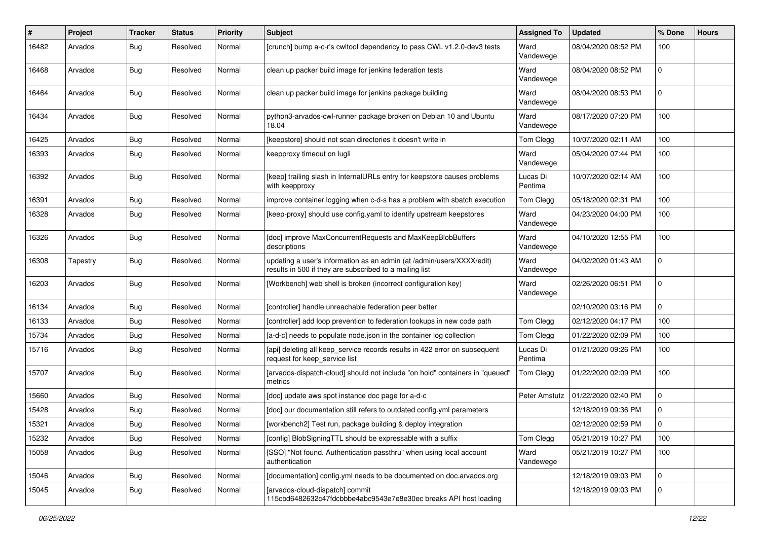| #     | Project  | <b>Tracker</b> | <b>Status</b> | <b>Priority</b> | <b>Subject</b>                                                                                                                   | <b>Assigned To</b>  | <b>Updated</b>      | % Done      | <b>Hours</b> |
|-------|----------|----------------|---------------|-----------------|----------------------------------------------------------------------------------------------------------------------------------|---------------------|---------------------|-------------|--------------|
| 16482 | Arvados  | <b>Bug</b>     | Resolved      | Normal          | [crunch] bump a-c-r's cwitool dependency to pass CWL v1.2.0-dev3 tests                                                           | Ward<br>Vandewege   | 08/04/2020 08:52 PM | 100         |              |
| 16468 | Arvados  | <b>Bug</b>     | Resolved      | Normal          | clean up packer build image for jenkins federation tests                                                                         | Ward<br>Vandewege   | 08/04/2020 08:52 PM | 0           |              |
| 16464 | Arvados  | <b>Bug</b>     | Resolved      | Normal          | clean up packer build image for jenkins package building                                                                         | Ward<br>Vandewege   | 08/04/2020 08:53 PM | 0           |              |
| 16434 | Arvados  | <b>Bug</b>     | Resolved      | Normal          | python3-arvados-cwl-runner package broken on Debian 10 and Ubuntu<br>18.04                                                       | Ward<br>Vandewege   | 08/17/2020 07:20 PM | 100         |              |
| 16425 | Arvados  | <b>Bug</b>     | Resolved      | Normal          | [keepstore] should not scan directories it doesn't write in                                                                      | Tom Clegg           | 10/07/2020 02:11 AM | 100         |              |
| 16393 | Arvados  | <b>Bug</b>     | Resolved      | Normal          | keepproxy timeout on lugli                                                                                                       | Ward<br>Vandewege   | 05/04/2020 07:44 PM | 100         |              |
| 16392 | Arvados  | <b>Bug</b>     | Resolved      | Normal          | [keep] trailing slash in InternalURLs entry for keepstore causes problems<br>with keepproxy                                      | Lucas Di<br>Pentima | 10/07/2020 02:14 AM | 100         |              |
| 16391 | Arvados  | <b>Bug</b>     | Resolved      | Normal          | improve container logging when c-d-s has a problem with sbatch execution                                                         | Tom Clegg           | 05/18/2020 02:31 PM | 100         |              |
| 16328 | Arvados  | <b>Bug</b>     | Resolved      | Normal          | [keep-proxy] should use config.yaml to identify upstream keepstores                                                              | Ward<br>Vandewege   | 04/23/2020 04:00 PM | 100         |              |
| 16326 | Arvados  | <b>Bug</b>     | Resolved      | Normal          | [doc] improve MaxConcurrentRequests and MaxKeepBlobBuffers<br>descriptions                                                       | Ward<br>Vandewege   | 04/10/2020 12:55 PM | 100         |              |
| 16308 | Tapestry | Bug            | Resolved      | Normal          | updating a user's information as an admin (at /admin/users/XXXX/edit)<br>results in 500 if they are subscribed to a mailing list | Ward<br>Vandewege   | 04/02/2020 01:43 AM | $\Omega$    |              |
| 16203 | Arvados  | <b>Bug</b>     | Resolved      | Normal          | [Workbench] web shell is broken (incorrect configuration key)                                                                    | Ward<br>Vandewege   | 02/26/2020 06:51 PM | 0           |              |
| 16134 | Arvados  | <b>Bug</b>     | Resolved      | Normal          | [controller] handle unreachable federation peer better                                                                           |                     | 02/10/2020 03:16 PM | 0           |              |
| 16133 | Arvados  | <b>Bug</b>     | Resolved      | Normal          | [controller] add loop prevention to federation lookups in new code path                                                          | Tom Clegg           | 02/12/2020 04:17 PM | 100         |              |
| 15734 | Arvados  | <b>Bug</b>     | Resolved      | Normal          | [a-d-c] needs to populate node.json in the container log collection                                                              | Tom Clegg           | 01/22/2020 02:09 PM | 100         |              |
| 15716 | Arvados  | <b>Bug</b>     | Resolved      | Normal          | [api] deleting all keep_service records results in 422 error on subsequent<br>request for keep service list                      | Lucas Di<br>Pentima | 01/21/2020 09:26 PM | 100         |              |
| 15707 | Arvados  | <b>Bug</b>     | Resolved      | Normal          | [arvados-dispatch-cloud] should not include "on hold" containers in "queued"<br>metrics                                          | Tom Clegg           | 01/22/2020 02:09 PM | 100         |              |
| 15660 | Arvados  | Bug            | Resolved      | Normal          | [doc] update aws spot instance doc page for a-d-c                                                                                | Peter Amstutz       | 01/22/2020 02:40 PM | $\mathbf 0$ |              |
| 15428 | Arvados  | <b>Bug</b>     | Resolved      | Normal          | [doc] our documentation still refers to outdated config.yml parameters                                                           |                     | 12/18/2019 09:36 PM | 0           |              |
| 15321 | Arvados  | <b>Bug</b>     | Resolved      | Normal          | [workbench2] Test run, package building & deploy integration                                                                     |                     | 02/12/2020 02:59 PM | 0           |              |
| 15232 | Arvados  | <b>Bug</b>     | Resolved      | Normal          | [config] BlobSigningTTL should be expressable with a suffix                                                                      | Tom Clegg           | 05/21/2019 10:27 PM | 100         |              |
| 15058 | Arvados  | <b>Bug</b>     | Resolved      | Normal          | [SSO] "Not found. Authentication passthru" when using local account<br>authentication                                            | Ward<br>Vandewege   | 05/21/2019 10:27 PM | 100         |              |
| 15046 | Arvados  | <b>Bug</b>     | Resolved      | Normal          | [documentation] config.yml needs to be documented on doc.arvados.org                                                             |                     | 12/18/2019 09:03 PM | $\mathbf 0$ |              |
| 15045 | Arvados  | <b>Bug</b>     | Resolved      | Normal          | [arvados-cloud-dispatch] commit<br>115cbd6482632c47fdcbbbe4abc9543e7e8e30ec breaks API host loading                              |                     | 12/18/2019 09:03 PM | $\mathbf 0$ |              |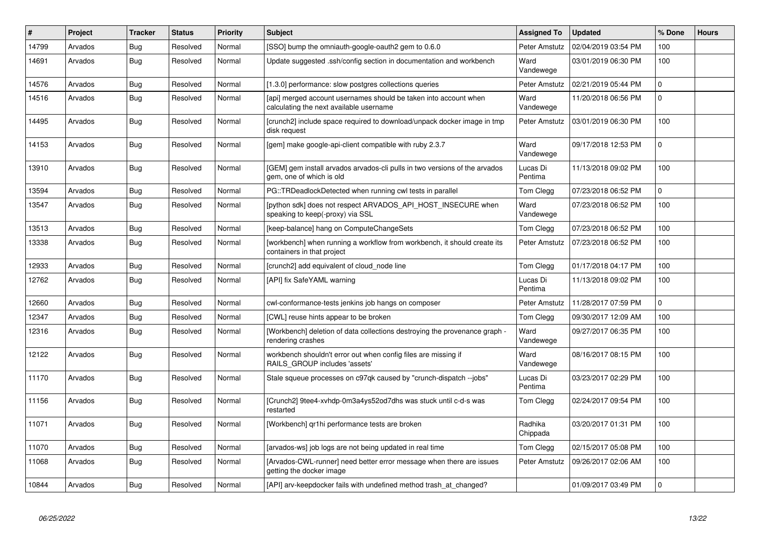| #     | Project | <b>Tracker</b> | <b>Status</b> | <b>Priority</b> | <b>Subject</b>                                                                                              | <b>Assigned To</b>  | <b>Updated</b>      | % Done      | <b>Hours</b> |
|-------|---------|----------------|---------------|-----------------|-------------------------------------------------------------------------------------------------------------|---------------------|---------------------|-------------|--------------|
| 14799 | Arvados | <b>Bug</b>     | Resolved      | Normal          | [SSO] bump the omniauth-google-oauth2 gem to 0.6.0                                                          | Peter Amstutz       | 02/04/2019 03:54 PM | 100         |              |
| 14691 | Arvados | <b>Bug</b>     | Resolved      | Normal          | Update suggested .ssh/config section in documentation and workbench                                         | Ward<br>Vandewege   | 03/01/2019 06:30 PM | 100         |              |
| 14576 | Arvados | <b>Bug</b>     | Resolved      | Normal          | [1.3.0] performance: slow postgres collections queries                                                      | Peter Amstutz       | 02/21/2019 05:44 PM | $\mathbf 0$ |              |
| 14516 | Arvados | Bug            | Resolved      | Normal          | [api] merged account usernames should be taken into account when<br>calculating the next available username | Ward<br>Vandewege   | 11/20/2018 06:56 PM | $\mathbf 0$ |              |
| 14495 | Arvados | Bug            | Resolved      | Normal          | [crunch2] include space required to download/unpack docker image in tmp<br>disk request                     | Peter Amstutz       | 03/01/2019 06:30 PM | 100         |              |
| 14153 | Arvados | Bug            | Resolved      | Normal          | [gem] make google-api-client compatible with ruby 2.3.7                                                     | Ward<br>Vandewege   | 09/17/2018 12:53 PM | $\Omega$    |              |
| 13910 | Arvados | Bug            | Resolved      | Normal          | [GEM] gem install arvados arvados-cli pulls in two versions of the arvados<br>gem, one of which is old      | Lucas Di<br>Pentima | 11/13/2018 09:02 PM | 100         |              |
| 13594 | Arvados | Bug            | Resolved      | Normal          | PG::TRDeadlockDetected when running cwl tests in parallel                                                   | Tom Clegg           | 07/23/2018 06:52 PM | $\mathbf 0$ |              |
| 13547 | Arvados | <b>Bug</b>     | Resolved      | Normal          | [python sdk] does not respect ARVADOS_API_HOST_INSECURE when<br>speaking to keep(-proxy) via SSL            | Ward<br>Vandewege   | 07/23/2018 06:52 PM | 100         |              |
| 13513 | Arvados | Bug            | Resolved      | Normal          | [keep-balance] hang on ComputeChangeSets                                                                    | Tom Clegg           | 07/23/2018 06:52 PM | 100         |              |
| 13338 | Arvados | Bug            | Resolved      | Normal          | [workbench] when running a workflow from workbench, it should create its<br>containers in that project      | Peter Amstutz       | 07/23/2018 06:52 PM | 100         |              |
| 12933 | Arvados | <b>Bug</b>     | Resolved      | Normal          | [crunch2] add equivalent of cloud node line                                                                 | Tom Clegg           | 01/17/2018 04:17 PM | 100         |              |
| 12762 | Arvados | <b>Bug</b>     | Resolved      | Normal          | [API] fix SafeYAML warning                                                                                  | Lucas Di<br>Pentima | 11/13/2018 09:02 PM | 100         |              |
| 12660 | Arvados | Bug            | Resolved      | Normal          | cwl-conformance-tests jenkins job hangs on composer                                                         | Peter Amstutz       | 11/28/2017 07:59 PM | $\mathbf 0$ |              |
| 12347 | Arvados | <b>Bug</b>     | Resolved      | Normal          | [CWL] reuse hints appear to be broken                                                                       | Tom Clegg           | 09/30/2017 12:09 AM | 100         |              |
| 12316 | Arvados | Bug            | Resolved      | Normal          | [Workbench] deletion of data collections destroying the provenance graph -<br>rendering crashes             | Ward<br>Vandewege   | 09/27/2017 06:35 PM | 100         |              |
| 12122 | Arvados | <b>Bug</b>     | Resolved      | Normal          | workbench shouldn't error out when config files are missing if<br>RAILS GROUP includes 'assets'             | Ward<br>Vandewege   | 08/16/2017 08:15 PM | 100         |              |
| 11170 | Arvados | Bug            | Resolved      | Normal          | Stale squeue processes on c97qk caused by "crunch-dispatch --jobs"                                          | Lucas Di<br>Pentima | 03/23/2017 02:29 PM | 100         |              |
| 11156 | Arvados | Bug            | Resolved      | Normal          | [Crunch2] 9tee4-xvhdp-0m3a4ys52od7dhs was stuck until c-d-s was<br>restarted                                | Tom Clegg           | 02/24/2017 09:54 PM | 100         |              |
| 11071 | Arvados | <b>Bug</b>     | Resolved      | Normal          | [Workbench] gr1hi performance tests are broken                                                              | Radhika<br>Chippada | 03/20/2017 01:31 PM | 100         |              |
| 11070 | Arvados | Bug            | Resolved      | Normal          | [arvados-ws] job logs are not being updated in real time                                                    | Tom Clegg           | 02/15/2017 05:08 PM | 100         |              |
| 11068 | Arvados | Bug            | Resolved      | Normal          | [Arvados-CWL-runner] need better error message when there are issues<br>getting the docker image            | Peter Amstutz       | 09/26/2017 02:06 AM | 100         |              |
| 10844 | Arvados | <b>Bug</b>     | Resolved      | Normal          | [API] arv-keepdocker fails with undefined method trash at changed?                                          |                     | 01/09/2017 03:49 PM | $\mathbf 0$ |              |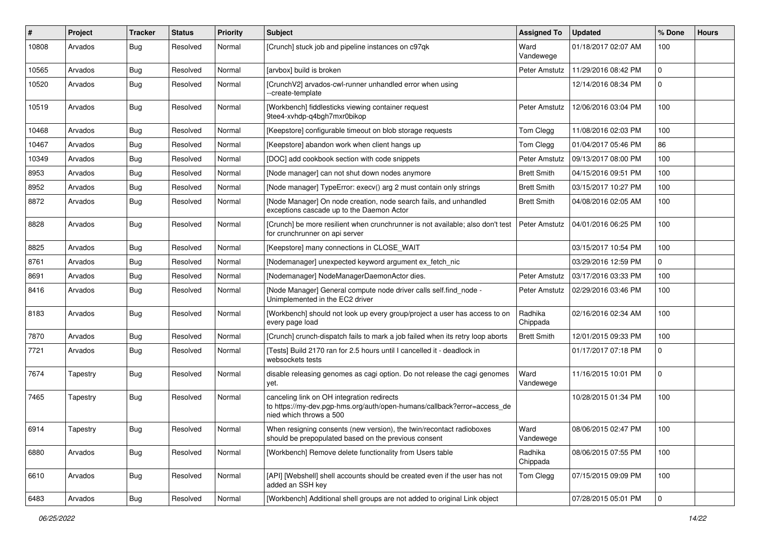| $\pmb{\#}$ | Project  | <b>Tracker</b> | <b>Status</b> | <b>Priority</b> | <b>Subject</b>                                                                                                                                   | <b>Assigned To</b>  | <b>Updated</b>      | % Done       | <b>Hours</b> |
|------------|----------|----------------|---------------|-----------------|--------------------------------------------------------------------------------------------------------------------------------------------------|---------------------|---------------------|--------------|--------------|
| 10808      | Arvados  | <b>Bug</b>     | Resolved      | Normal          | [Crunch] stuck job and pipeline instances on c97qk                                                                                               | Ward<br>Vandewege   | 01/18/2017 02:07 AM | 100          |              |
| 10565      | Arvados  | <b>Bug</b>     | Resolved      | Normal          | [arvbox] build is broken                                                                                                                         | Peter Amstutz       | 11/29/2016 08:42 PM | $\Omega$     |              |
| 10520      | Arvados  | <b>Bug</b>     | Resolved      | Normal          | [CrunchV2] arvados-cwl-runner unhandled error when using<br>--create-template                                                                    |                     | 12/14/2016 08:34 PM | $\Omega$     |              |
| 10519      | Arvados  | <b>Bug</b>     | Resolved      | Normal          | [Workbench] fiddlesticks viewing container request<br>9tee4-xvhdp-q4bgh7mxr0bikop                                                                | Peter Amstutz       | 12/06/2016 03:04 PM | 100          |              |
| 10468      | Arvados  | <b>Bug</b>     | Resolved      | Normal          | [Keepstore] configurable timeout on blob storage requests                                                                                        | Tom Clegg           | 11/08/2016 02:03 PM | 100          |              |
| 10467      | Arvados  | <b>Bug</b>     | Resolved      | Normal          | [Keepstore] abandon work when client hangs up                                                                                                    | Tom Clegg           | 01/04/2017 05:46 PM | 86           |              |
| 10349      | Arvados  | <b>Bug</b>     | Resolved      | Normal          | [DOC] add cookbook section with code snippets                                                                                                    | Peter Amstutz       | 09/13/2017 08:00 PM | 100          |              |
| 8953       | Arvados  | <b>Bug</b>     | Resolved      | Normal          | [Node manager] can not shut down nodes anymore                                                                                                   | <b>Brett Smith</b>  | 04/15/2016 09:51 PM | 100          |              |
| 8952       | Arvados  | <b>Bug</b>     | Resolved      | Normal          | [Node manager] TypeError: execv() arg 2 must contain only strings                                                                                | <b>Brett Smith</b>  | 03/15/2017 10:27 PM | 100          |              |
| 8872       | Arvados  | <b>Bug</b>     | Resolved      | Normal          | [Node Manager] On node creation, node search fails, and unhandled<br>exceptions cascade up to the Daemon Actor                                   | <b>Brett Smith</b>  | 04/08/2016 02:05 AM | 100          |              |
| 8828       | Arvados  | Bug            | Resolved      | Normal          | [Crunch] be more resilient when crunchrunner is not available; also don't test<br>for crunchrunner on api server                                 | Peter Amstutz       | 04/01/2016 06:25 PM | 100          |              |
| 8825       | Arvados  | <b>Bug</b>     | Resolved      | Normal          | [Keepstore] many connections in CLOSE_WAIT                                                                                                       |                     | 03/15/2017 10:54 PM | 100          |              |
| 8761       | Arvados  | <b>Bug</b>     | Resolved      | Normal          | [Nodemanager] unexpected keyword argument ex_fetch_nic                                                                                           |                     | 03/29/2016 12:59 PM | $\mathbf{0}$ |              |
| 8691       | Arvados  | Bug            | Resolved      | Normal          | [Nodemanager] NodeManagerDaemonActor dies.                                                                                                       | Peter Amstutz       | 03/17/2016 03:33 PM | 100          |              |
| 8416       | Arvados  | <b>Bug</b>     | Resolved      | Normal          | [Node Manager] General compute node driver calls self.find_node -<br>Unimplemented in the EC2 driver                                             | Peter Amstutz       | 02/29/2016 03:46 PM | 100          |              |
| 8183       | Arvados  | Bug            | Resolved      | Normal          | [Workbench] should not look up every group/project a user has access to on<br>every page load                                                    | Radhika<br>Chippada | 02/16/2016 02:34 AM | 100          |              |
| 7870       | Arvados  | Bug            | Resolved      | Normal          | [Crunch] crunch-dispatch fails to mark a job failed when its retry loop aborts                                                                   | <b>Brett Smith</b>  | 12/01/2015 09:33 PM | 100          |              |
| 7721       | Arvados  | <b>Bug</b>     | Resolved      | Normal          | [Tests] Build 2170 ran for 2.5 hours until I cancelled it - deadlock in<br>websockets tests                                                      |                     | 01/17/2017 07:18 PM | 0            |              |
| 7674       | Tapestry | <b>Bug</b>     | Resolved      | Normal          | disable releasing genomes as cagi option. Do not release the cagi genomes<br>yet.                                                                | Ward<br>Vandewege   | 11/16/2015 10:01 PM | $\Omega$     |              |
| 7465       | Tapestry | Bug            | Resolved      | Normal          | canceling link on OH integration redirects<br>to https://my-dev.pgp-hms.org/auth/open-humans/callback?error=access_de<br>nied which throws a 500 |                     | 10/28/2015 01:34 PM | 100          |              |
| 6914       | Tapestry | Bug            | Resolved      | Normal          | When resigning consents (new version), the twin/recontact radioboxes<br>should be prepopulated based on the previous consent                     | Ward<br>Vandewege   | 08/06/2015 02:47 PM | 100          |              |
| 6880       | Arvados  | Bug            | Resolved      | Normal          | [Workbench] Remove delete functionality from Users table                                                                                         | Radhika<br>Chippada | 08/06/2015 07:55 PM | 100          |              |
| 6610       | Arvados  | Bug            | Resolved      | Normal          | [API] [Webshell] shell accounts should be created even if the user has not<br>added an SSH key                                                   | Tom Clegg           | 07/15/2015 09:09 PM | 100          |              |
| 6483       | Arvados  | Bug            | Resolved      | Normal          | [Workbench] Additional shell groups are not added to original Link object                                                                        |                     | 07/28/2015 05:01 PM | $\mathbf 0$  |              |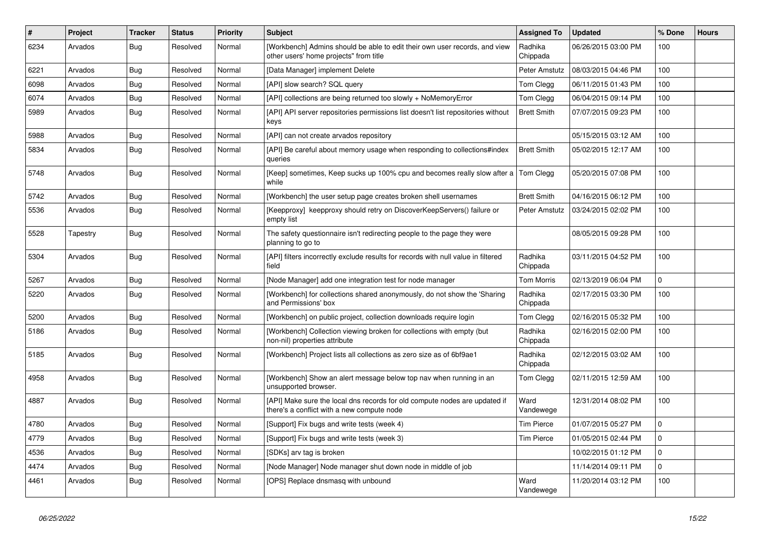| $\sharp$ | Project  | <b>Tracker</b> | <b>Status</b> | <b>Priority</b> | <b>Subject</b>                                                                                                           | <b>Assigned To</b>  | <b>Updated</b>      | % Done       | <b>Hours</b> |
|----------|----------|----------------|---------------|-----------------|--------------------------------------------------------------------------------------------------------------------------|---------------------|---------------------|--------------|--------------|
| 6234     | Arvados  | <b>Bug</b>     | Resolved      | Normal          | [Workbench] Admins should be able to edit their own user records, and view<br>other users' home projects" from title     | Radhika<br>Chippada | 06/26/2015 03:00 PM | 100          |              |
| 6221     | Arvados  | Bug            | Resolved      | Normal          | [Data Manager] implement Delete                                                                                          | Peter Amstutz       | 08/03/2015 04:46 PM | 100          |              |
| 6098     | Arvados  | <b>Bug</b>     | Resolved      | Normal          | [API] slow search? SQL query                                                                                             | Tom Clegg           | 06/11/2015 01:43 PM | 100          |              |
| 6074     | Arvados  | <b>Bug</b>     | Resolved      | Normal          | [API] collections are being returned too slowly + NoMemoryError                                                          | Tom Clegg           | 06/04/2015 09:14 PM | 100          |              |
| 5989     | Arvados  | Bug            | Resolved      | Normal          | [API] API server repositories permissions list doesn't list repositories without<br>keys                                 | <b>Brett Smith</b>  | 07/07/2015 09:23 PM | 100          |              |
| 5988     | Arvados  | <b>Bug</b>     | Resolved      | Normal          | [API] can not create arvados repository                                                                                  |                     | 05/15/2015 03:12 AM | 100          |              |
| 5834     | Arvados  | Bug            | Resolved      | Normal          | [API] Be careful about memory usage when responding to collections#index<br>queries                                      | <b>Brett Smith</b>  | 05/02/2015 12:17 AM | 100          |              |
| 5748     | Arvados  | Bug            | Resolved      | Normal          | [Keep] sometimes, Keep sucks up 100% cpu and becomes really slow after a<br>while                                        | Tom Clegg           | 05/20/2015 07:08 PM | 100          |              |
| 5742     | Arvados  | Bug            | Resolved      | Normal          | [Workbench] the user setup page creates broken shell usernames                                                           | <b>Brett Smith</b>  | 04/16/2015 06:12 PM | 100          |              |
| 5536     | Arvados  | Bug            | Resolved      | Normal          | [Keepproxy] keepproxy should retry on DiscoverKeepServers() failure or<br>empty list                                     | Peter Amstutz       | 03/24/2015 02:02 PM | 100          |              |
| 5528     | Tapestry | <b>Bug</b>     | Resolved      | Normal          | The safety questionnaire isn't redirecting people to the page they were<br>planning to go to                             |                     | 08/05/2015 09:28 PM | 100          |              |
| 5304     | Arvados  | <b>Bug</b>     | Resolved      | Normal          | [API] filters incorrectly exclude results for records with null value in filtered<br>field                               | Radhika<br>Chippada | 03/11/2015 04:52 PM | 100          |              |
| 5267     | Arvados  | Bug            | Resolved      | Normal          | [Node Manager] add one integration test for node manager                                                                 | <b>Tom Morris</b>   | 02/13/2019 06:04 PM | $\mathbf{0}$ |              |
| 5220     | Arvados  | Bug            | Resolved      | Normal          | [Workbench] for collections shared anonymously, do not show the 'Sharing<br>and Permissions' box                         | Radhika<br>Chippada | 02/17/2015 03:30 PM | 100          |              |
| 5200     | Arvados  | <b>Bug</b>     | Resolved      | Normal          | [Workbench] on public project, collection downloads require login                                                        | Tom Clegg           | 02/16/2015 05:32 PM | 100          |              |
| 5186     | Arvados  | Bug            | Resolved      | Normal          | [Workbench] Collection viewing broken for collections with empty (but<br>non-nil) properties attribute                   | Radhika<br>Chippada | 02/16/2015 02:00 PM | 100          |              |
| 5185     | Arvados  | Bug            | Resolved      | Normal          | [Workbench] Project lists all collections as zero size as of 6bf9ae1                                                     | Radhika<br>Chippada | 02/12/2015 03:02 AM | 100          |              |
| 4958     | Arvados  | <b>Bug</b>     | Resolved      | Normal          | [Workbench] Show an alert message below top nav when running in an<br>unsupported browser.                               | <b>Tom Clegg</b>    | 02/11/2015 12:59 AM | 100          |              |
| 4887     | Arvados  | <b>Bug</b>     | Resolved      | Normal          | [API] Make sure the local dns records for old compute nodes are updated if<br>there's a conflict with a new compute node | Ward<br>Vandewege   | 12/31/2014 08:02 PM | 100          |              |
| 4780     | Arvados  | Bug            | Resolved      | Normal          | [Support] Fix bugs and write tests (week 4)                                                                              | <b>Tim Pierce</b>   | 01/07/2015 05:27 PM | $\Omega$     |              |
| 4779     | Arvados  | Bug            | Resolved      | Normal          | [Support] Fix bugs and write tests (week 3)                                                                              | <b>Tim Pierce</b>   | 01/05/2015 02:44 PM | $\Omega$     |              |
| 4536     | Arvados  | Bug            | Resolved      | Normal          | [SDKs] arv tag is broken                                                                                                 |                     | 10/02/2015 01:12 PM | $\Omega$     |              |
| 4474     | Arvados  | <b>Bug</b>     | Resolved      | Normal          | [Node Manager] Node manager shut down node in middle of job                                                              |                     | 11/14/2014 09:11 PM | $\Omega$     |              |
| 4461     | Arvados  | Bug            | Resolved      | Normal          | [OPS] Replace dnsmasq with unbound                                                                                       | Ward<br>Vandewege   | 11/20/2014 03:12 PM | 100          |              |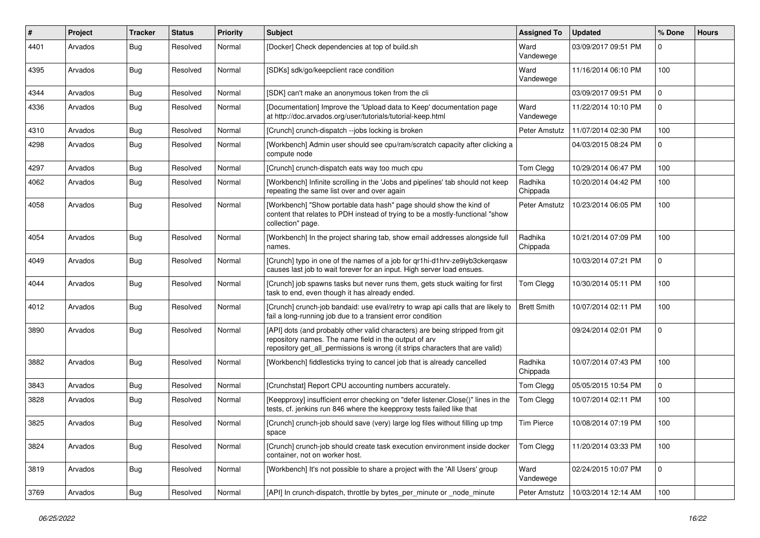| $\pmb{\#}$ | Project | <b>Tracker</b> | <b>Status</b> | <b>Priority</b> | <b>Subject</b>                                                                                                                                                                                                         | <b>Assigned To</b>  | <b>Updated</b>      | % Done      | <b>Hours</b> |
|------------|---------|----------------|---------------|-----------------|------------------------------------------------------------------------------------------------------------------------------------------------------------------------------------------------------------------------|---------------------|---------------------|-------------|--------------|
| 4401       | Arvados | <b>Bug</b>     | Resolved      | Normal          | [Docker] Check dependencies at top of build.sh                                                                                                                                                                         | Ward<br>Vandewege   | 03/09/2017 09:51 PM | 0           |              |
| 4395       | Arvados | <b>Bug</b>     | Resolved      | Normal          | [SDKs] sdk/go/keepclient race condition                                                                                                                                                                                | Ward<br>Vandewege   | 11/16/2014 06:10 PM | 100         |              |
| 4344       | Arvados | <b>Bug</b>     | Resolved      | Normal          | [SDK] can't make an anonymous token from the cli                                                                                                                                                                       |                     | 03/09/2017 09:51 PM | $\mathbf 0$ |              |
| 4336       | Arvados | <b>Bug</b>     | Resolved      | Normal          | [Documentation] Improve the 'Upload data to Keep' documentation page<br>at http://doc.arvados.org/user/tutorials/tutorial-keep.html                                                                                    | Ward<br>Vandewege   | 11/22/2014 10:10 PM | 0           |              |
| 4310       | Arvados | <b>Bug</b>     | Resolved      | Normal          | [Crunch] crunch-dispatch --jobs locking is broken                                                                                                                                                                      | Peter Amstutz       | 11/07/2014 02:30 PM | 100         |              |
| 4298       | Arvados | <b>Bug</b>     | Resolved      | Normal          | [Workbench] Admin user should see cpu/ram/scratch capacity after clicking a<br>compute node                                                                                                                            |                     | 04/03/2015 08:24 PM | 0           |              |
| 4297       | Arvados | Bug            | Resolved      | Normal          | [Crunch] crunch-dispatch eats way too much cpu                                                                                                                                                                         | Tom Clegg           | 10/29/2014 06:47 PM | 100         |              |
| 4062       | Arvados | <b>Bug</b>     | Resolved      | Normal          | [Workbench] Infinite scrolling in the 'Jobs and pipelines' tab should not keep<br>repeating the same list over and over again                                                                                          | Radhika<br>Chippada | 10/20/2014 04:42 PM | 100         |              |
| 4058       | Arvados | <b>Bug</b>     | Resolved      | Normal          | [Workbench] "Show portable data hash" page should show the kind of<br>content that relates to PDH instead of trying to be a mostly-functional "show<br>collection" page.                                               | Peter Amstutz       | 10/23/2014 06:05 PM | 100         |              |
| 4054       | Arvados | Bug            | Resolved      | Normal          | [Workbench] In the project sharing tab, show email addresses alongside full<br>names.                                                                                                                                  | Radhika<br>Chippada | 10/21/2014 07:09 PM | 100         |              |
| 4049       | Arvados | Bug            | Resolved      | Normal          | [Crunch] typo in one of the names of a job for qr1hi-d1hrv-ze9iyb3ckerqasw<br>causes last job to wait forever for an input. High server load ensues.                                                                   |                     | 10/03/2014 07:21 PM | $\Omega$    |              |
| 4044       | Arvados | <b>Bug</b>     | Resolved      | Normal          | [Crunch] job spawns tasks but never runs them, gets stuck waiting for first<br>task to end, even though it has already ended.                                                                                          | Tom Clegg           | 10/30/2014 05:11 PM | 100         |              |
| 4012       | Arvados | <b>Bug</b>     | Resolved      | Normal          | [Crunch] crunch-job bandaid: use eval/retry to wrap api calls that are likely to<br>fail a long-running job due to a transient error condition                                                                         | <b>Brett Smith</b>  | 10/07/2014 02:11 PM | 100         |              |
| 3890       | Arvados | <b>Bug</b>     | Resolved      | Normal          | [API] dots (and probably other valid characters) are being stripped from git<br>repository names. The name field in the output of arv<br>repository get_all_permissions is wrong (it strips characters that are valid) |                     | 09/24/2014 02:01 PM | $\Omega$    |              |
| 3882       | Arvados | <b>Bug</b>     | Resolved      | Normal          | [Workbench] fiddlesticks trying to cancel job that is already cancelled                                                                                                                                                | Radhika<br>Chippada | 10/07/2014 07:43 PM | 100         |              |
| 3843       | Arvados | <b>Bug</b>     | Resolved      | Normal          | [Crunchstat] Report CPU accounting numbers accurately.                                                                                                                                                                 | Tom Clegg           | 05/05/2015 10:54 PM | $\mathbf 0$ |              |
| 3828       | Arvados | <b>Bug</b>     | Resolved      | Normal          | [Keepproxy] insufficient error checking on "defer listener.Close()" lines in the<br>tests, cf. jenkins run 846 where the keepproxy tests failed like that                                                              | Tom Clegg           | 10/07/2014 02:11 PM | 100         |              |
| 3825       | Arvados | Bug            | Resolved      | Normal          | [Crunch] crunch-job should save (very) large log files without filling up tmp<br>space                                                                                                                                 | <b>Tim Pierce</b>   | 10/08/2014 07:19 PM | 100         |              |
| 3824       | Arvados | Bug            | Resolved      | Normal          | [Crunch] crunch-job should create task execution environment inside docker<br>container, not on worker host.                                                                                                           | Tom Clegg           | 11/20/2014 03:33 PM | 100         |              |
| 3819       | Arvados | <b>Bug</b>     | Resolved      | Normal          | [Workbench] It's not possible to share a project with the 'All Users' group                                                                                                                                            | Ward<br>Vandewege   | 02/24/2015 10:07 PM | $\mathbf 0$ |              |
| 3769       | Arvados | Bug            | Resolved      | Normal          | [API] In crunch-dispatch, throttle by bytes per minute or node minute                                                                                                                                                  | Peter Amstutz       | 10/03/2014 12:14 AM | 100         |              |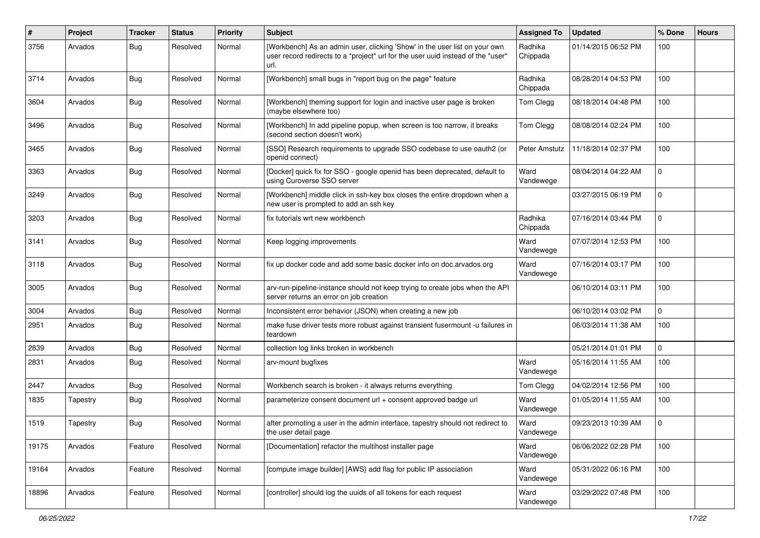| $\pmb{\#}$ | Project  | <b>Tracker</b> | <b>Status</b> | <b>Priority</b> | Subject                                                                                                                                                                | <b>Assigned To</b>  | <b>Updated</b>      | % Done         | <b>Hours</b> |
|------------|----------|----------------|---------------|-----------------|------------------------------------------------------------------------------------------------------------------------------------------------------------------------|---------------------|---------------------|----------------|--------------|
| 3756       | Arvados  | <b>Bug</b>     | Resolved      | Normal          | [Workbench] As an admin user, clicking 'Show' in the user list on your own<br>user record redirects to a *project* url for the user uuid instead of the *user*<br>url. | Radhika<br>Chippada | 01/14/2015 06:52 PM | 100            |              |
| 3714       | Arvados  | <b>Bug</b>     | Resolved      | Normal          | [Workbench] small bugs in "report bug on the page" feature                                                                                                             | Radhika<br>Chippada | 08/28/2014 04:53 PM | 100            |              |
| 3604       | Arvados  | Bug            | Resolved      | Normal          | [Workbench] theming support for login and inactive user page is broken<br>(maybe elsewhere too)                                                                        | Tom Clegg           | 08/18/2014 04:48 PM | 100            |              |
| 3496       | Arvados  | <b>Bug</b>     | Resolved      | Normal          | [Workbench] In add pipeline popup, when screen is too narrow, it breaks<br>(second section doesn't work)                                                               | Tom Clegg           | 08/08/2014 02:24 PM | 100            |              |
| 3465       | Arvados  | <b>Bug</b>     | Resolved      | Normal          | [SSO] Research requirements to upgrade SSO codebase to use oauth2 (or<br>openid connect)                                                                               | Peter Amstutz       | 11/18/2014 02:37 PM | 100            |              |
| 3363       | Arvados  | <b>Bug</b>     | Resolved      | Normal          | [Docker] quick fix for SSO - google openid has been deprecated, default to<br>using Curoverse SSO server                                                               | Ward<br>Vandewege   | 08/04/2014 04:22 AM | 0              |              |
| 3249       | Arvados  | <b>Bug</b>     | Resolved      | Normal          | [Workbench] middle click in ssh-key box closes the entire dropdown when a<br>new user is prompted to add an ssh key                                                    |                     | 03/27/2015 06:19 PM | $\Omega$       |              |
| 3203       | Arvados  | <b>Bug</b>     | Resolved      | Normal          | fix tutorials wrt new workbench                                                                                                                                        | Radhika<br>Chippada | 07/16/2014 03:44 PM | 0              |              |
| 3141       | Arvados  | <b>Bug</b>     | Resolved      | Normal          | Keep logging improvements                                                                                                                                              | Ward<br>Vandewege   | 07/07/2014 12:53 PM | 100            |              |
| 3118       | Arvados  | <b>Bug</b>     | Resolved      | Normal          | fix up docker code and add some basic docker info on doc. arvados.org                                                                                                  | Ward<br>Vandewege   | 07/16/2014 03:17 PM | 100            |              |
| 3005       | Arvados  | <b>Bug</b>     | Resolved      | Normal          | arv-run-pipeline-instance should not keep trying to create jobs when the API<br>server returns an error on job creation                                                |                     | 06/10/2014 03:11 PM | 100            |              |
| 3004       | Arvados  | <b>Bug</b>     | Resolved      | Normal          | Inconsistent error behavior (JSON) when creating a new job                                                                                                             |                     | 06/10/2014 03:02 PM | $\overline{0}$ |              |
| 2951       | Arvados  | <b>Bug</b>     | Resolved      | Normal          | make fuse driver tests more robust against transient fusermount -u failures in<br>teardown                                                                             |                     | 06/03/2014 11:38 AM | 100            |              |
| 2839       | Arvados  | <b>Bug</b>     | Resolved      | Normal          | collection log links broken in workbench                                                                                                                               |                     | 05/21/2014 01:01 PM | 0              |              |
| 2831       | Arvados  | <b>Bug</b>     | Resolved      | Normal          | arv-mount bugfixes                                                                                                                                                     | Ward<br>Vandewege   | 05/16/2014 11:55 AM | 100            |              |
| 2447       | Arvados  | <b>Bug</b>     | Resolved      | Normal          | Workbench search is broken - it always returns everything                                                                                                              | Tom Clegg           | 04/02/2014 12:56 PM | 100            |              |
| 1835       | Tapestry | Bug            | Resolved      | Normal          | parameterize consent document url + consent approved badge url                                                                                                         | Ward<br>Vandewege   | 01/05/2014 11:55 AM | 100            |              |
| 1519       | Tapestry | Bug            | Resolved      | Normal          | after promoting a user in the admin interface, tapestry should not redirect to<br>the user detail page                                                                 | Ward<br>Vandewege   | 09/23/2013 10:39 AM | 0              |              |
| 19175      | Arvados  | Feature        | Resolved      | Normal          | [Documentation] refactor the multihost installer page                                                                                                                  | Ward<br>Vandewege   | 06/06/2022 02:28 PM | 100            |              |
| 19164      | Arvados  | Feature        | Resolved      | Normal          | [compute image builder] [AWS] add flag for public IP association                                                                                                       | Ward<br>Vandewege   | 05/31/2022 06:16 PM | 100            |              |
| 18896      | Arvados  | Feature        | Resolved      | Normal          | [controller] should log the uuids of all tokens for each request                                                                                                       | Ward<br>Vandewege   | 03/29/2022 07:48 PM | 100            |              |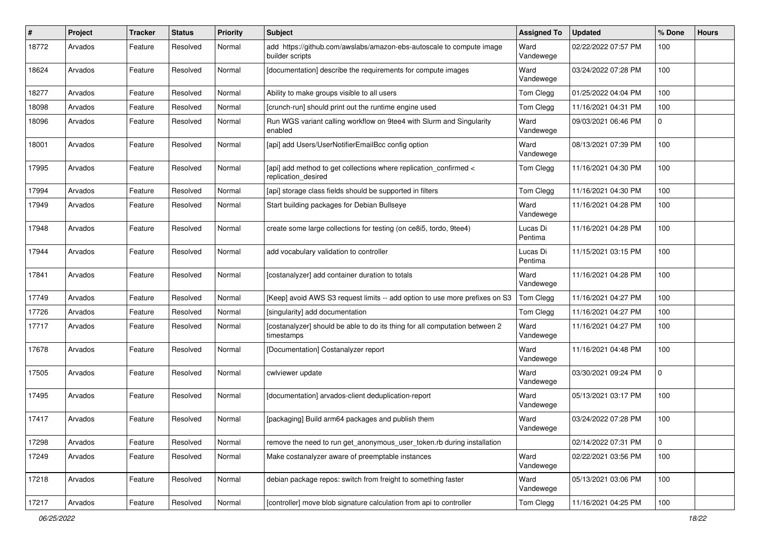| #     | Project | <b>Tracker</b> | <b>Status</b> | <b>Priority</b> | Subject                                                                                   | <b>Assigned To</b>  | <b>Updated</b>      | % Done      | <b>Hours</b> |
|-------|---------|----------------|---------------|-----------------|-------------------------------------------------------------------------------------------|---------------------|---------------------|-------------|--------------|
| 18772 | Arvados | Feature        | Resolved      | Normal          | add https://github.com/awslabs/amazon-ebs-autoscale to compute image<br>builder scripts   | Ward<br>Vandewege   | 02/22/2022 07:57 PM | 100         |              |
| 18624 | Arvados | Feature        | Resolved      | Normal          | [documentation] describe the requirements for compute images                              | Ward<br>Vandewege   | 03/24/2022 07:28 PM | 100         |              |
| 18277 | Arvados | Feature        | Resolved      | Normal          | Ability to make groups visible to all users                                               | Tom Clegg           | 01/25/2022 04:04 PM | 100         |              |
| 18098 | Arvados | Feature        | Resolved      | Normal          | [crunch-run] should print out the runtime engine used                                     | Tom Clegg           | 11/16/2021 04:31 PM | 100         |              |
| 18096 | Arvados | Feature        | Resolved      | Normal          | Run WGS variant calling workflow on 9tee4 with Slurm and Singularity<br>enabled           | Ward<br>Vandewege   | 09/03/2021 06:46 PM | $\Omega$    |              |
| 18001 | Arvados | Feature        | Resolved      | Normal          | [api] add Users/UserNotifierEmailBcc config option                                        | Ward<br>Vandewege   | 08/13/2021 07:39 PM | 100         |              |
| 17995 | Arvados | Feature        | Resolved      | Normal          | [api] add method to get collections where replication_confirmed <<br>replication desired  | Tom Clegg           | 11/16/2021 04:30 PM | 100         |              |
| 17994 | Arvados | Feature        | Resolved      | Normal          | [api] storage class fields should be supported in filters                                 | Tom Clegg           | 11/16/2021 04:30 PM | 100         |              |
| 17949 | Arvados | Feature        | Resolved      | Normal          | Start building packages for Debian Bullseye                                               | Ward<br>Vandewege   | 11/16/2021 04:28 PM | 100         |              |
| 17948 | Arvados | Feature        | Resolved      | Normal          | create some large collections for testing (on ce8i5, tordo, 9tee4)                        | Lucas Di<br>Pentima | 11/16/2021 04:28 PM | 100         |              |
| 17944 | Arvados | Feature        | Resolved      | Normal          | add vocabulary validation to controller                                                   | Lucas Di<br>Pentima | 11/15/2021 03:15 PM | 100         |              |
| 17841 | Arvados | Feature        | Resolved      | Normal          | [costanalyzer] add container duration to totals                                           | Ward<br>Vandewege   | 11/16/2021 04:28 PM | 100         |              |
| 17749 | Arvados | Feature        | Resolved      | Normal          | [Keep] avoid AWS S3 request limits -- add option to use more prefixes on S3               | Tom Clegg           | 11/16/2021 04:27 PM | 100         |              |
| 17726 | Arvados | Feature        | Resolved      | Normal          | [singularity] add documentation                                                           | Tom Clegg           | 11/16/2021 04:27 PM | 100         |              |
| 17717 | Arvados | Feature        | Resolved      | Normal          | [costanalyzer] should be able to do its thing for all computation between 2<br>timestamps | Ward<br>Vandewege   | 11/16/2021 04:27 PM | 100         |              |
| 17678 | Arvados | Feature        | Resolved      | Normal          | [Documentation] Costanalyzer report                                                       | Ward<br>Vandewege   | 11/16/2021 04:48 PM | 100         |              |
| 17505 | Arvados | Feature        | Resolved      | Normal          | cwlviewer update                                                                          | Ward<br>Vandewege   | 03/30/2021 09:24 PM | $\mathbf 0$ |              |
| 17495 | Arvados | Feature        | Resolved      | Normal          | [documentation] arvados-client deduplication-report                                       | Ward<br>Vandewege   | 05/13/2021 03:17 PM | 100         |              |
| 17417 | Arvados | Feature        | Resolved      | Normal          | [packaging] Build arm64 packages and publish them                                         | Ward<br>Vandewege   | 03/24/2022 07:28 PM | 100         |              |
| 17298 | Arvados | Feature        | Resolved      | Normal          | remove the need to run get anonymous user token.rb during installation                    |                     | 02/14/2022 07:31 PM | $\mathbf 0$ |              |
| 17249 | Arvados | Feature        | Resolved      | Normal          | Make costanalyzer aware of preemptable instances                                          | Ward<br>Vandewege   | 02/22/2021 03:56 PM | 100         |              |
| 17218 | Arvados | Feature        | Resolved      | Normal          | debian package repos: switch from freight to something faster                             | Ward<br>Vandewege   | 05/13/2021 03:06 PM | 100         |              |
| 17217 | Arvados | Feature        | Resolved      | Normal          | [controller] move blob signature calculation from api to controller                       | Tom Clegg           | 11/16/2021 04:25 PM | 100         |              |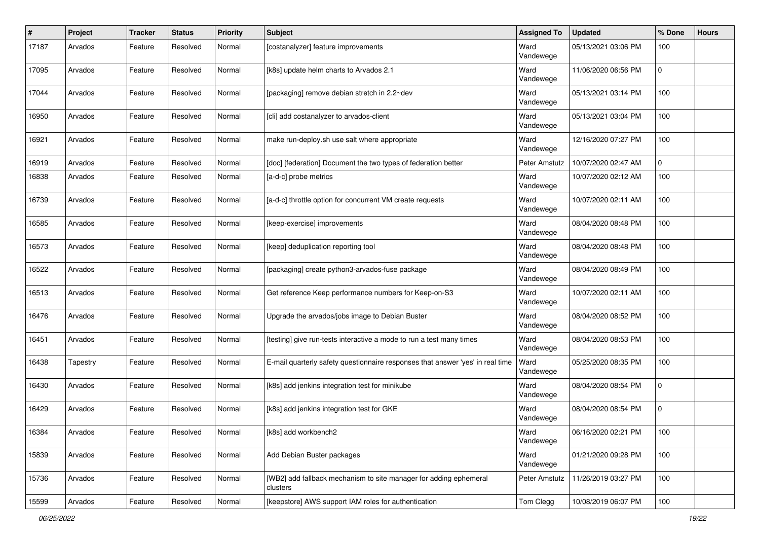| $\pmb{\#}$ | Project  | <b>Tracker</b> | <b>Status</b>   | <b>Priority</b> | <b>Subject</b>                                                                 | <b>Assigned To</b> | <b>Updated</b>      | % Done         | <b>Hours</b> |
|------------|----------|----------------|-----------------|-----------------|--------------------------------------------------------------------------------|--------------------|---------------------|----------------|--------------|
| 17187      | Arvados  | Feature        | Resolved        | Normal          | [costanalyzer] feature improvements                                            | Ward<br>Vandewege  | 05/13/2021 03:06 PM | 100            |              |
| 17095      | Arvados  | Feature        | Resolved        | Normal          | [k8s] update helm charts to Arvados 2.1                                        | Ward<br>Vandewege  | 11/06/2020 06:56 PM | 0              |              |
| 17044      | Arvados  | Feature        | Resolved        | Normal          | [packaging] remove debian stretch in 2.2~dev                                   | Ward<br>Vandewege  | 05/13/2021 03:14 PM | 100            |              |
| 16950      | Arvados  | Feature        | Resolved        | Normal          | [cli] add costanalyzer to arvados-client                                       | Ward<br>Vandewege  | 05/13/2021 03:04 PM | 100            |              |
| 16921      | Arvados  | Feature        | Resolved        | Normal          | make run-deploy.sh use salt where appropriate                                  | Ward<br>Vandewege  | 12/16/2020 07:27 PM | 100            |              |
| 16919      | Arvados  | Feature        | Resolved        | Normal          | [doc] [federation] Document the two types of federation better                 | Peter Amstutz      | 10/07/2020 02:47 AM | $\mathbf{0}$   |              |
| 16838      | Arvados  | Feature        | Resolved        | Normal          | [a-d-c] probe metrics                                                          | Ward<br>Vandewege  | 10/07/2020 02:12 AM | 100            |              |
| 16739      | Arvados  | Feature        | Resolved        | Normal          | [a-d-c] throttle option for concurrent VM create requests                      | Ward<br>Vandewege  | 10/07/2020 02:11 AM | 100            |              |
| 16585      | Arvados  | Feature        | Resolved        | Normal          | [keep-exercise] improvements                                                   | Ward<br>Vandewege  | 08/04/2020 08:48 PM | 100            |              |
| 16573      | Arvados  | Feature        | Resolved        | Normal          | [keep] deduplication reporting tool                                            | Ward<br>Vandewege  | 08/04/2020 08:48 PM | 100            |              |
| 16522      | Arvados  | Feature        | Resolved        | Normal          | [packaging] create python3-arvados-fuse package                                | Ward<br>Vandewege  | 08/04/2020 08:49 PM | 100            |              |
| 16513      | Arvados  | Feature        | Resolved        | Normal          | Get reference Keep performance numbers for Keep-on-S3                          | Ward<br>Vandewege  | 10/07/2020 02:11 AM | 100            |              |
| 16476      | Arvados  | Feature        | Resolved        | Normal          | Upgrade the arvados/jobs image to Debian Buster                                | Ward<br>Vandewege  | 08/04/2020 08:52 PM | 100            |              |
| 16451      | Arvados  | Feature        | Resolved        | Normal          | [testing] give run-tests interactive a mode to run a test many times           | Ward<br>Vandewege  | 08/04/2020 08:53 PM | 100            |              |
| 16438      | Tapestry | Feature        | Resolved        | Normal          | E-mail quarterly safety questionnaire responses that answer 'yes' in real time | Ward<br>Vandewege  | 05/25/2020 08:35 PM | 100            |              |
| 16430      | Arvados  | Feature        | Resolved        | Normal          | [k8s] add jenkins integration test for minikube                                | Ward<br>Vandewege  | 08/04/2020 08:54 PM | 0              |              |
| 16429      | Arvados  | Feature        | Resolved        | Normal          | [k8s] add jenkins integration test for GKE                                     | Ward<br>Vandewege  | 08/04/2020 08:54 PM | $\overline{0}$ |              |
| 16384      | Arvados  | Feature        | Resolved Normal |                 | [k8s] add workbench2                                                           | Ward<br>Vandewege  | 06/16/2020 02:21 PM | 100            |              |
| 15839      | Arvados  | Feature        | Resolved        | Normal          | Add Debian Buster packages                                                     | Ward<br>Vandewege  | 01/21/2020 09:28 PM | 100            |              |
| 15736      | Arvados  | Feature        | Resolved        | Normal          | [WB2] add fallback mechanism to site manager for adding ephemeral<br>clusters  | Peter Amstutz      | 11/26/2019 03:27 PM | 100            |              |
| 15599      | Arvados  | Feature        | Resolved        | Normal          | [keepstore] AWS support IAM roles for authentication                           | Tom Clegg          | 10/08/2019 06:07 PM | 100            |              |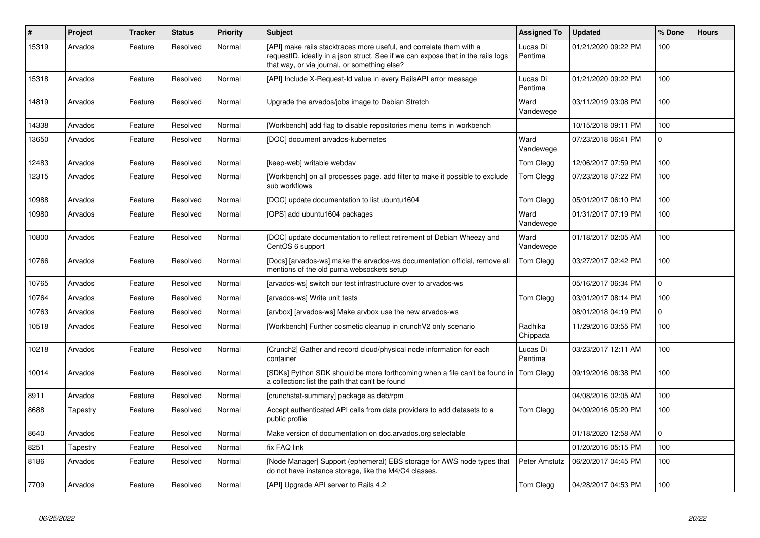| $\#$  | Project  | <b>Tracker</b> | <b>Status</b> | <b>Priority</b> | <b>Subject</b>                                                                                                                                                                                          | Assigned To         | <b>Updated</b>      | % Done       | <b>Hours</b> |
|-------|----------|----------------|---------------|-----------------|---------------------------------------------------------------------------------------------------------------------------------------------------------------------------------------------------------|---------------------|---------------------|--------------|--------------|
| 15319 | Arvados  | Feature        | Resolved      | Normal          | [API] make rails stacktraces more useful, and correlate them with a<br>requestID, ideally in a json struct. See if we can expose that in the rails logs<br>that way, or via journal, or something else? | Lucas Di<br>Pentima | 01/21/2020 09:22 PM | 100          |              |
| 15318 | Arvados  | Feature        | Resolved      | Normal          | [API] Include X-Request-Id value in every RailsAPI error message                                                                                                                                        | Lucas Di<br>Pentima | 01/21/2020 09:22 PM | 100          |              |
| 14819 | Arvados  | Feature        | Resolved      | Normal          | Upgrade the arvados/jobs image to Debian Stretch                                                                                                                                                        | Ward<br>Vandewege   | 03/11/2019 03:08 PM | 100          |              |
| 14338 | Arvados  | Feature        | Resolved      | Normal          | [Workbench] add flag to disable repositories menu items in workbench                                                                                                                                    |                     | 10/15/2018 09:11 PM | 100          |              |
| 13650 | Arvados  | Feature        | Resolved      | Normal          | [DOC] document arvados-kubernetes                                                                                                                                                                       | Ward<br>Vandewege   | 07/23/2018 06:41 PM | $\mathbf{0}$ |              |
| 12483 | Arvados  | Feature        | Resolved      | Normal          | [keep-web] writable webdav                                                                                                                                                                              | Tom Clegg           | 12/06/2017 07:59 PM | 100          |              |
| 12315 | Arvados  | Feature        | Resolved      | Normal          | [Workbench] on all processes page, add filter to make it possible to exclude<br>sub workflows                                                                                                           | Tom Clegg           | 07/23/2018 07:22 PM | 100          |              |
| 10988 | Arvados  | Feature        | Resolved      | Normal          | [DOC] update documentation to list ubuntu1604                                                                                                                                                           | Tom Clegg           | 05/01/2017 06:10 PM | 100          |              |
| 10980 | Arvados  | Feature        | Resolved      | Normal          | [OPS] add ubuntu1604 packages                                                                                                                                                                           | Ward<br>Vandewege   | 01/31/2017 07:19 PM | 100          |              |
| 10800 | Arvados  | Feature        | Resolved      | Normal          | [DOC] update documentation to reflect retirement of Debian Wheezy and<br>CentOS 6 support                                                                                                               | Ward<br>Vandewege   | 01/18/2017 02:05 AM | 100          |              |
| 10766 | Arvados  | Feature        | Resolved      | Normal          | [Docs] [arvados-ws] make the arvados-ws documentation official, remove all<br>mentions of the old puma websockets setup                                                                                 | Tom Clegg           | 03/27/2017 02:42 PM | 100          |              |
| 10765 | Arvados  | Feature        | Resolved      | Normal          | [arvados-ws] switch our test infrastructure over to arvados-ws                                                                                                                                          |                     | 05/16/2017 06:34 PM | $\Omega$     |              |
| 10764 | Arvados  | Feature        | Resolved      | Normal          | [arvados-ws] Write unit tests                                                                                                                                                                           | Tom Clegg           | 03/01/2017 08:14 PM | 100          |              |
| 10763 | Arvados  | Feature        | Resolved      | Normal          | [arvbox] [arvados-ws] Make arvbox use the new arvados-ws                                                                                                                                                |                     | 08/01/2018 04:19 PM | $\Omega$     |              |
| 10518 | Arvados  | Feature        | Resolved      | Normal          | [Workbench] Further cosmetic cleanup in crunchV2 only scenario                                                                                                                                          | Radhika<br>Chippada | 11/29/2016 03:55 PM | 100          |              |
| 10218 | Arvados  | Feature        | Resolved      | Normal          | [Crunch2] Gather and record cloud/physical node information for each<br>container                                                                                                                       | Lucas Di<br>Pentima | 03/23/2017 12:11 AM | 100          |              |
| 10014 | Arvados  | Feature        | Resolved      | Normal          | [SDKs] Python SDK should be more forthcoming when a file can't be found in<br>a collection: list the path that can't be found                                                                           | Tom Clegg           | 09/19/2016 06:38 PM | 100          |              |
| 8911  | Arvados  | Feature        | Resolved      | Normal          | [crunchstat-summary] package as deb/rpm                                                                                                                                                                 |                     | 04/08/2016 02:05 AM | 100          |              |
| 8688  | Tapestry | Feature        | Resolved      | Normal          | Accept authenticated API calls from data providers to add datasets to a<br>public profile                                                                                                               | Tom Clegg           | 04/09/2016 05:20 PM | 100          |              |
| 8640  | Arvados  | Feature        | Resolved      | Normal          | Make version of documentation on doc. arvados. org selectable                                                                                                                                           |                     | 01/18/2020 12:58 AM | $\mathbf 0$  |              |
| 8251  | Tapestry | Feature        | Resolved      | Normal          | fix FAQ link                                                                                                                                                                                            |                     | 01/20/2016 05:15 PM | 100          |              |
| 8186  | Arvados  | Feature        | Resolved      | Normal          | [Node Manager] Support (ephemeral) EBS storage for AWS node types that<br>do not have instance storage, like the M4/C4 classes.                                                                         | Peter Amstutz       | 06/20/2017 04:45 PM | 100          |              |
| 7709  | Arvados  | Feature        | Resolved      | Normal          | [API] Upgrade API server to Rails 4.2                                                                                                                                                                   | Tom Clegg           | 04/28/2017 04:53 PM | 100          |              |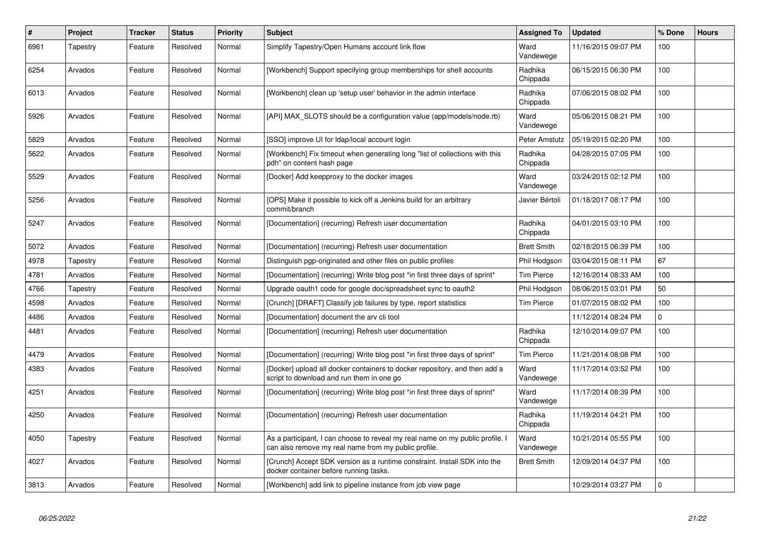| $\vert$ # | Project  | <b>Tracker</b> | <b>Status</b> | <b>Priority</b> | <b>Subject</b>                                                                                                                        | <b>Assigned To</b>  | <b>Updated</b>      | % Done   | <b>Hours</b> |
|-----------|----------|----------------|---------------|-----------------|---------------------------------------------------------------------------------------------------------------------------------------|---------------------|---------------------|----------|--------------|
| 6961      | Tapestry | Feature        | Resolved      | Normal          | Simplify Tapestry/Open Humans account link flow                                                                                       | Ward<br>Vandewege   | 11/16/2015 09:07 PM | 100      |              |
| 6254      | Arvados  | Feature        | Resolved      | Normal          | [Workbench] Support specifying group memberships for shell accounts                                                                   | Radhika<br>Chippada | 06/15/2015 06:30 PM | 100      |              |
| 6013      | Arvados  | Feature        | Resolved      | Normal          | [Workbench] clean up 'setup user' behavior in the admin interface                                                                     | Radhika<br>Chippada | 07/06/2015 08:02 PM | 100      |              |
| 5926      | Arvados  | Feature        | Resolved      | Normal          | [API] MAX_SLOTS should be a configuration value (app/models/node.rb)                                                                  | Ward<br>Vandewege   | 05/06/2015 08:21 PM | 100      |              |
| 5829      | Arvados  | Feature        | Resolved      | Normal          | [SSO] improve UI for Idap/local account login                                                                                         | Peter Amstutz       | 05/19/2015 02:20 PM | 100      |              |
| 5622      | Arvados  | Feature        | Resolved      | Normal          | [Workbench] Fix timeout when generating long "list of collections with this<br>pdh" on content hash page                              | Radhika<br>Chippada | 04/28/2015 07:05 PM | 100      |              |
| 5529      | Arvados  | Feature        | Resolved      | Normal          | [Docker] Add keepproxy to the docker images                                                                                           | Ward<br>Vandewege   | 03/24/2015 02:12 PM | 100      |              |
| 5256      | Arvados  | Feature        | Resolved      | Normal          | [OPS] Make it possible to kick off a Jenkins build for an arbitrary<br>commit/branch                                                  | Javier Bértoli      | 01/18/2017 08:17 PM | 100      |              |
| 5247      | Arvados  | Feature        | Resolved      | Normal          | [Documentation] (recurring) Refresh user documentation                                                                                | Radhika<br>Chippada | 04/01/2015 03:10 PM | 100      |              |
| 5072      | Arvados  | Feature        | Resolved      | Normal          | [Documentation] (recurring) Refresh user documentation                                                                                | <b>Brett Smith</b>  | 02/18/2015 06:39 PM | 100      |              |
| 4978      | Tapestry | Feature        | Resolved      | Normal          | Distinguish pgp-originated and other files on public profiles                                                                         | Phil Hodgson        | 03/04/2015 08:11 PM | 67       |              |
| 4781      | Arvados  | Feature        | Resolved      | Normal          | [Documentation] (recurring) Write blog post *in first three days of sprint*                                                           | <b>Tim Pierce</b>   | 12/16/2014 08:33 AM | 100      |              |
| 4766      | Tapestry | Feature        | Resolved      | Normal          | Upgrade oauth1 code for google doc/spreadsheet sync to oauth2                                                                         | Phil Hodgson        | 08/06/2015 03:01 PM | 50       |              |
| 4598      | Arvados  | Feature        | Resolved      | Normal          | [Crunch] [DRAFT] Classify job failures by type, report statistics                                                                     | <b>Tim Pierce</b>   | 01/07/2015 08:02 PM | 100      |              |
| 4486      | Arvados  | Feature        | Resolved      | Normal          | [Documentation] document the arv cli tool                                                                                             |                     | 11/12/2014 08:24 PM | $\Omega$ |              |
| 4481      | Arvados  | Feature        | Resolved      | Normal          | [Documentation] (recurring) Refresh user documentation                                                                                | Radhika<br>Chippada | 12/10/2014 09:07 PM | 100      |              |
| 4479      | Arvados  | Feature        | Resolved      | Normal          | [Documentation] (recurring) Write blog post *in first three days of sprint*                                                           | <b>Tim Pierce</b>   | 11/21/2014 08:08 PM | 100      |              |
| 4383      | Arvados  | Feature        | Resolved      | Normal          | [Docker] upload all docker containers to docker repository, and then add a<br>script to download and run them in one go               | Ward<br>Vandewege   | 11/17/2014 03:52 PM | 100      |              |
| 4251      | Arvados  | Feature        | Resolved      | Normal          | [Documentation] (recurring) Write blog post *in first three days of sprint*                                                           | Ward<br>Vandewege   | 11/17/2014 08:39 PM | 100      |              |
| 4250      | Arvados  | Feature        | Resolved      | Normal          | [Documentation] (recurring) Refresh user documentation                                                                                | Radhika<br>Chippada | 11/19/2014 04:21 PM | 100      |              |
| 4050      | Tapestry | Feature        | Resolved      | Normal          | As a participant, I can choose to reveal my real name on my public profile. I<br>can also remove my real name from my public profile. | Ward<br>Vandewege   | 10/21/2014 05:55 PM | 100      |              |
| 4027      | Arvados  | Feature        | Resolved      | Normal          | [Crunch] Accept SDK version as a runtime constraint. Install SDK into the<br>docker container before running tasks.                   | <b>Brett Smith</b>  | 12/09/2014 04:37 PM | 100      |              |
| 3813      | Arvados  | Feature        | Resolved      | Normal          | [Workbench] add link to pipeline instance from job view page                                                                          |                     | 10/29/2014 03:27 PM | $\Omega$ |              |